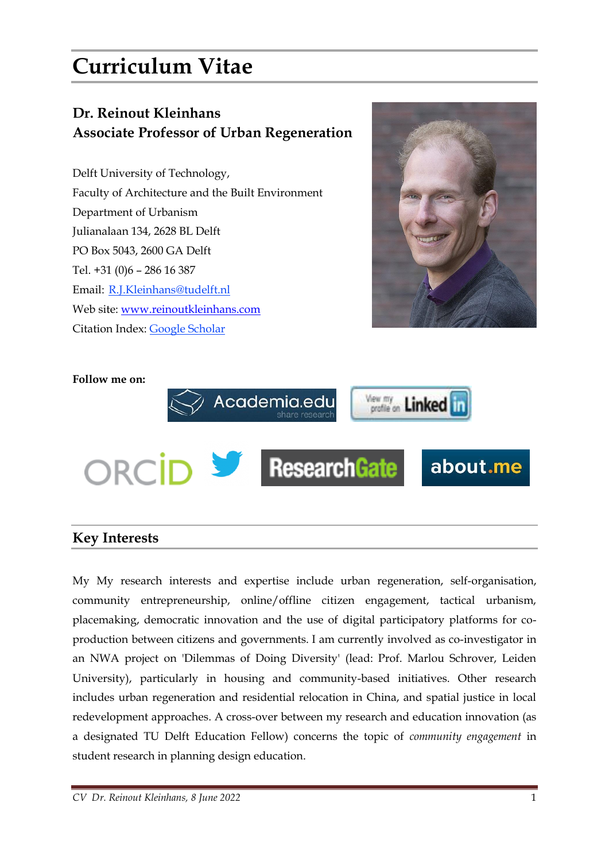# **Curriculum Vitae**

## **Dr. Reinout Kleinhans Associate Professor of Urban Regeneration**

Delft University of Technology, Faculty of Architecture and the Built Environment Department of Urbanism Julianalaan 134, 2628 BL Delft PO Box 5043, 2600 GA Delft Tel. +31 (0)6 – 286 16 387 Email: [R.J.Kleinhans@tudelft.nl](mailto:R.J.Kleinhans@tudelft.nl) Web site: [www.reinoutkleinhans.com](http://www.reinoutkleinhans.com/) Citation Index: [Google Scholar](https://scholar.google.nl/citations?user=efycN3kAAAAJ&hl=nl) 



#### **Follow me on:**



#### **Key Interests**

My My research interests and expertise include urban regeneration, self-organisation, community entrepreneurship, online/offline citizen engagement, tactical urbanism, placemaking, democratic innovation and the use of digital participatory platforms for coproduction between citizens and governments. I am currently involved as co-investigator in an NWA project on 'Dilemmas of Doing Diversity' (lead: Prof. Marlou Schrover, Leiden University), particularly in housing and community-based initiatives. Other research includes urban regeneration and residential relocation in China, and spatial justice in local redevelopment approaches. A cross-over between my research and education innovation (as a designated TU Delft Education Fellow) concerns the topic of *community engagement* in student research in planning design education.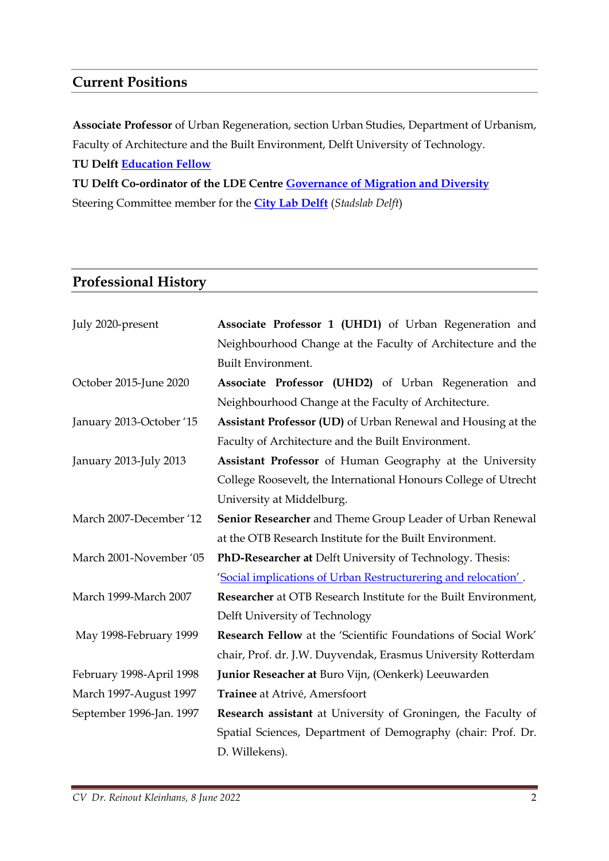### **Current Positions**

**Associate Professor** of Urban Regeneration, section Urban Studies, Department of Urbanism, Faculty of Architecture and the Built Environment, Delft University of Technology.

**TU Delft [Education Fellow](https://www.tudelft.nl/en/tu-delft-teaching-academy/grants/education-fellowship)**

**TU Delft Co-ordinator of the LDE Centre [Governance of Migration and Diversity](https://www.gmdcentre.nl/home)** Steering Committee member for the **[City Lab Delft](https://agendastad.nl/even-voorstellen-city-deal-steden-presenteren-hun-projecten-en-ambities-voor-2020/delft/)** (*Stadslab Delft*)

#### **Professional History**

| July 2020-present        | Associate Professor 1 (UHD1) of Urban Regeneration and          |
|--------------------------|-----------------------------------------------------------------|
|                          | Neighbourhood Change at the Faculty of Architecture and the     |
|                          | <b>Built Environment.</b>                                       |
| October 2015-June 2020   | Associate Professor (UHD2) of Urban Regeneration and            |
|                          | Neighbourhood Change at the Faculty of Architecture.            |
| January 2013-October '15 | Assistant Professor (UD) of Urban Renewal and Housing at the    |
|                          | Faculty of Architecture and the Built Environment.              |
| January 2013-July 2013   | Assistant Professor of Human Geography at the University        |
|                          | College Roosevelt, the International Honours College of Utrecht |
|                          | University at Middelburg.                                       |
| March 2007-December '12  | Senior Researcher and Theme Group Leader of Urban Renewal       |
|                          | at the OTB Research Institute for the Built Environment.        |
| March 2001-November '05  | PhD-Researcher at Delft University of Technology. Thesis:       |
|                          | 'Social implications of Urban Restructurering and relocation'.  |
| March 1999-March 2007    | Researcher at OTB Research Institute for the Built Environment, |
|                          | Delft University of Technology                                  |
| May 1998-February 1999   | Research Fellow at the 'Scientific Foundations of Social Work'  |
|                          | chair, Prof. dr. J.W. Duyvendak, Erasmus University Rotterdam   |
| February 1998-April 1998 | Junior Reseacher at Buro Vijn, (Oenkerk) Leeuwarden             |
| March 1997-August 1997   | Trainee at Atrivé, Amersfoort                                   |
| September 1996-Jan. 1997 | Research assistant at University of Groningen, the Faculty of   |
|                          | Spatial Sciences, Department of Demography (chair: Prof. Dr.    |
|                          | D. Willekens).                                                  |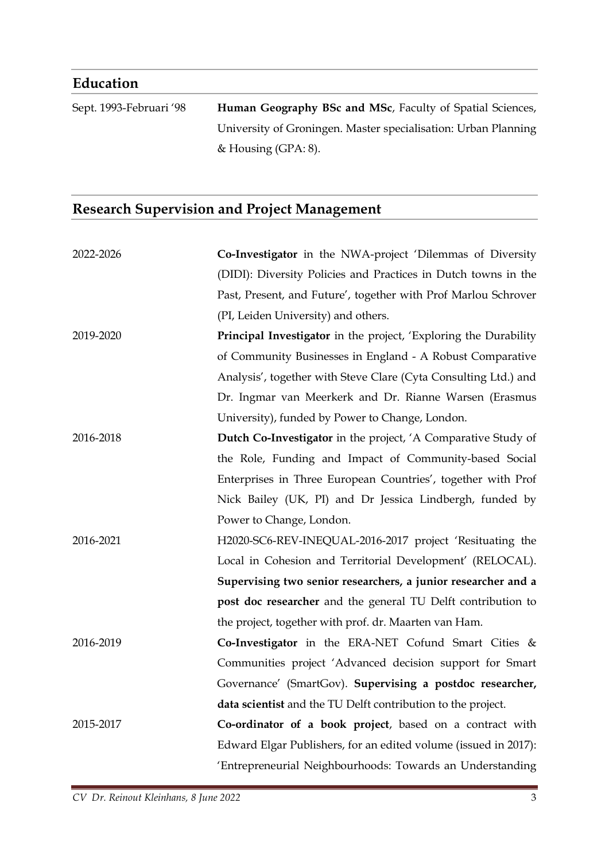## **Education**

Sept. 1993-Februari '98 **Human Geography BSc and MSc**, Faculty of Spatial Sciences, University of Groningen. Master specialisation: Urban Planning & Housing (GPA: 8).

## **Research Supervision and Project Management**

| 2022-2026 | Co-Investigator in the NWA-project 'Dilemmas of Diversity        |
|-----------|------------------------------------------------------------------|
|           | (DIDI): Diversity Policies and Practices in Dutch towns in the   |
|           | Past, Present, and Future', together with Prof Marlou Schrover   |
|           | (PI, Leiden University) and others.                              |
| 2019-2020 | Principal Investigator in the project, 'Exploring the Durability |
|           | of Community Businesses in England - A Robust Comparative        |
|           | Analysis', together with Steve Clare (Cyta Consulting Ltd.) and  |
|           | Dr. Ingmar van Meerkerk and Dr. Rianne Warsen (Erasmus           |
|           | University), funded by Power to Change, London.                  |
| 2016-2018 | Dutch Co-Investigator in the project, 'A Comparative Study of    |
|           | the Role, Funding and Impact of Community-based Social           |
|           | Enterprises in Three European Countries', together with Prof     |
|           | Nick Bailey (UK, PI) and Dr Jessica Lindbergh, funded by         |
|           | Power to Change, London.                                         |
| 2016-2021 | H2020-SC6-REV-INEQUAL-2016-2017 project 'Resituating the         |
|           | Local in Cohesion and Territorial Development' (RELOCAL).        |
|           | Supervising two senior researchers, a junior researcher and a    |
|           | post doc researcher and the general TU Delft contribution to     |
|           | the project, together with prof. dr. Maarten van Ham.            |
| 2016-2019 | Co-Investigator in the ERA-NET Cofund Smart Cities &             |
|           | Communities project 'Advanced decision support for Smart         |
|           | Governance' (SmartGov). Supervising a postdoc researcher,        |
|           | data scientist and the TU Delft contribution to the project.     |
| 2015-2017 | Co-ordinator of a book project, based on a contract with         |
|           | Edward Elgar Publishers, for an edited volume (issued in 2017):  |
|           | 'Entrepreneurial Neighbourhoods: Towards an Understanding        |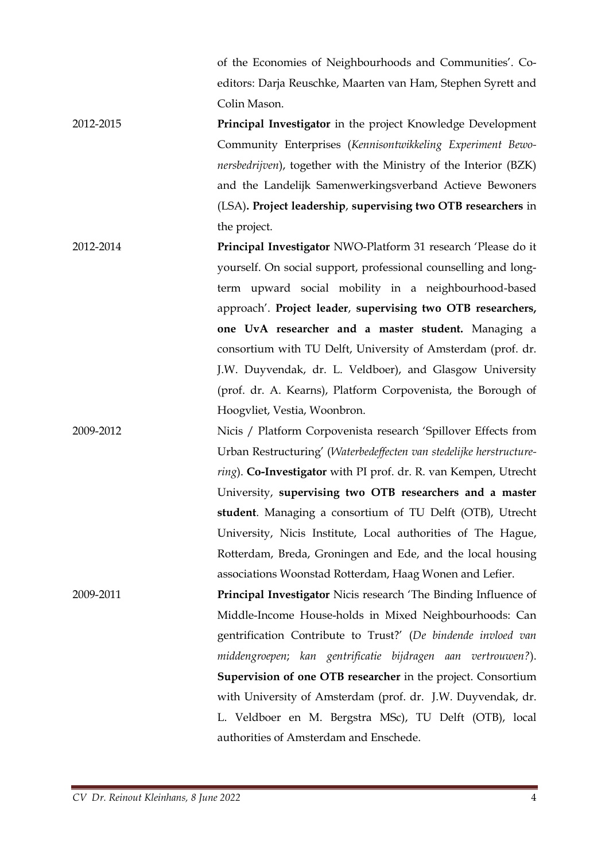of the Economies of Neighbourhoods and Communities'. Coeditors: Darja Reuschke, Maarten van Ham, Stephen Syrett and Colin Mason.

- 2012-2015 **Principal Investigator** in the project Knowledge Development Community Enterprises (*Kennisontwikkeling Experiment Bewonersbedrijven*), together with the Ministry of the Interior (BZK) and the Landelijk Samenwerkingsverband Actieve Bewoners (LSA)**. Project leadership**, **supervising two OTB researchers** in the project.
- 2012-2014 **Principal Investigator** NWO-Platform 31 research 'Please do it yourself. On social support, professional counselling and longterm upward social mobility in a neighbourhood-based approach'. **Project leader**, **supervising two OTB researchers, one UvA researcher and a master student.** Managing a consortium with TU Delft, University of Amsterdam (prof. dr. J.W. Duyvendak, dr. L. Veldboer), and Glasgow University (prof. dr. A. Kearns), Platform Corpovenista, the Borough of Hoogvliet, Vestia, Woonbron.
- 2009-2012 Nicis / Platform Corpovenista research 'Spillover Effects from Urban Restructuring' (*Waterbedeffecten van stedelijke herstructurering*). **Co-Investigator** with PI prof. dr. R. van Kempen, Utrecht University, **supervising two OTB researchers and a master student**. Managing a consortium of TU Delft (OTB), Utrecht University, Nicis Institute, Local authorities of The Hague, Rotterdam, Breda, Groningen and Ede, and the local housing associations Woonstad Rotterdam, Haag Wonen and Lefier.
- 2009-2011 **Principal Investigator** Nicis research 'The Binding Influence of Middle-Income House-holds in Mixed Neighbourhoods: Can gentrification Contribute to Trust?' (*De bindende invloed van middengroepen*; *kan gentrificatie bijdragen aan vertrouwen?*). **Supervision of one OTB researcher** in the project. Consortium with University of Amsterdam (prof. dr. J.W. Duyvendak, dr. L. Veldboer en M. Bergstra MSc), TU Delft (OTB), local authorities of Amsterdam and Enschede.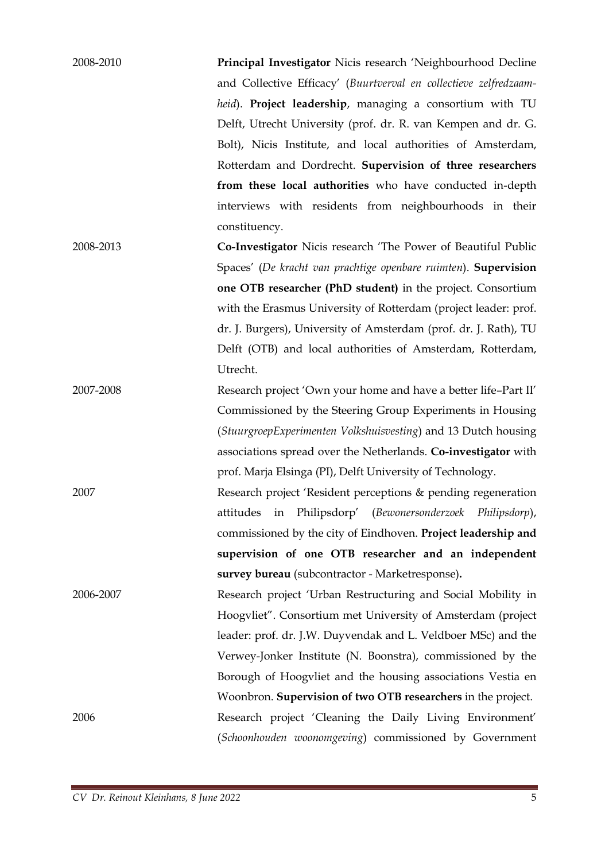| 2008-2010 | Principal Investigator Nicis research 'Neighbourhood Decline      |
|-----------|-------------------------------------------------------------------|
|           | and Collective Efficacy' (Buurtverval en collectieve zelfredzaam- |
|           | heid). <b>Project leadership</b> , managing a consortium with TU  |
|           | Delft, Utrecht University (prof. dr. R. van Kempen and dr. G.     |
|           | Bolt), Nicis Institute, and local authorities of Amsterdam,       |
|           | Rotterdam and Dordrecht. Supervision of three researchers         |
|           | from these local authorities who have conducted in-depth          |
|           | interviews with residents from neighbourhoods in their            |
|           | constituency.                                                     |
| 2008-2013 | Co-Investigator Nicis research 'The Power of Beautiful Public     |
|           | $C = I/D$ 1 1 1 1 1 1 1 $C = I$                                   |

Spaces' (*De kracht van prachtige openbare ruimten*). **Supervision one OTB researcher (PhD student)** in the project. Consortium with the Erasmus University of Rotterdam (project leader: prof. dr. J. Burgers), University of Amsterdam (prof. dr. J. Rath), TU Delft (OTB) and local authorities of Amsterdam, Rotterdam, Utrecht.

2007-2008 Research project 'Own your home and have a better life–Part II' Commissioned by the Steering Group Experiments in Housing (*StuurgroepExperimenten Volkshuisvesting*) and 13 Dutch housing associations spread over the Netherlands. **Co-investigator** with prof. Marja Elsinga (PI), Delft University of Technology.

2007 Research project 'Resident perceptions & pending regeneration attitudes in Philipsdorp' (*Bewonersonderzoek Philipsdorp*), commissioned by the city of Eindhoven. **Project leadership and supervision of one OTB researcher and an independent survey bureau** (subcontractor - Marketresponse)**.**

2006-2007 Research project 'Urban Restructuring and Social Mobility in Hoogvliet". Consortium met University of Amsterdam (project leader: prof. dr. J.W. Duyvendak and L. Veldboer MSc) and the Verwey-Jonker Institute (N. Boonstra), commissioned by the Borough of Hoogvliet and the housing associations Vestia en Woonbron. **Supervision of two OTB researchers** in the project. 2006 Research project 'Cleaning the Daily Living Environment' (*Schoonhouden woonomgeving*) commissioned by Government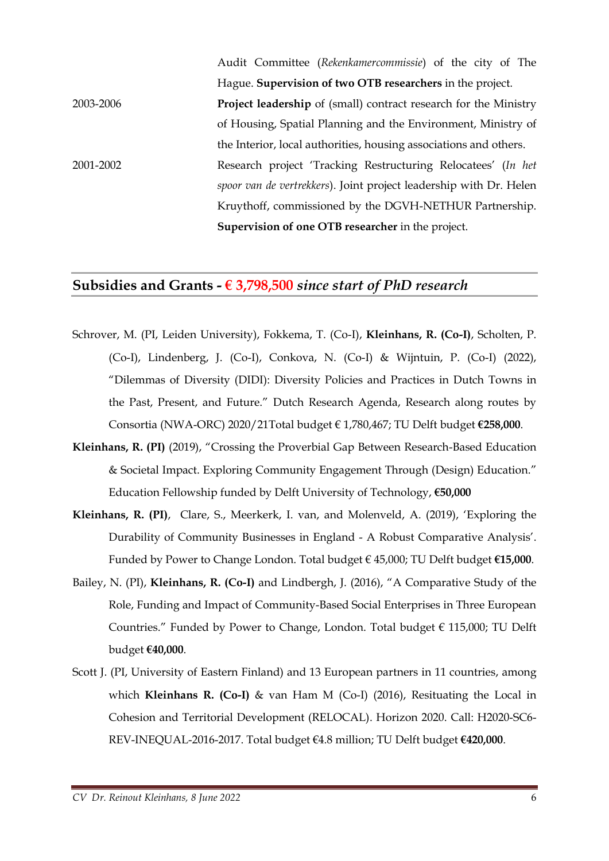|           | Audit Committee (Rekenkamercommissie) of the city of The                |
|-----------|-------------------------------------------------------------------------|
|           | Hague. Supervision of two OTB researchers in the project.               |
| 2003-2006 | <b>Project leadership</b> of (small) contract research for the Ministry |
|           | of Housing, Spatial Planning and the Environment, Ministry of           |
|           | the Interior, local authorities, housing associations and others.       |
| 2001-2002 | Research project 'Tracking Restructuring Relocatees' (In het            |
|           | spoor van de vertrekkers). Joint project leadership with Dr. Helen      |
|           | Kruythoff, commissioned by the DGVH-NETHUR Partnership.                 |
|           | Supervision of one OTB researcher in the project.                       |

#### **Subsidies and Grants - € 3,798,500** *since start of PhD research*

- Schrover, M. (PI, Leiden University), Fokkema, T. (Co-I), **Kleinhans, R. (Co-I)**, Scholten, P. (Co-I), Lindenberg, J. (Co-I), Conkova, N. (Co-I) & Wijntuin, P. (Co-I) (2022), "Dilemmas of Diversity (DIDI): Diversity Policies and Practices in Dutch Towns in the Past, Present, and Future." Dutch Research Agenda, Research along routes by Consortia (NWA-ORC) 2020/21Total budget € 1,780,467; TU Delft budget **€258,000**.
- **Kleinhans, R. (PI)** (2019), "Crossing the Proverbial Gap Between Research-Based Education & Societal Impact. Exploring Community Engagement Through (Design) Education." Education Fellowship funded by Delft University of Technology, **€50,000**
- **Kleinhans, R. (PI)**, Clare, S., Meerkerk, I. van, and Molenveld, A. (2019), 'Exploring the Durability of Community Businesses in England - A Robust Comparative Analysis'. Funded by Power to Change London. Total budget € 45,000; TU Delft budget **€15,000**.
- Bailey, N. (PI), **Kleinhans, R. (Co-I)** and Lindbergh, J. (2016), "A Comparative Study of the Role, Funding and Impact of Community-Based Social Enterprises in Three European Countries." Funded by Power to Change, London. Total budget € 115,000; TU Delft budget **€40,000**.
- Scott J. (PI, University of Eastern Finland) and 13 European partners in 11 countries, among which **Kleinhans R. (Co-I)** & van Ham M (Co-I) (2016), Resituating the Local in Cohesion and Territorial Development (RELOCAL). Horizon 2020. Call: H2020-SC6- REV-INEQUAL-2016-2017. Total budget €4.8 million; TU Delft budget **€420,000**.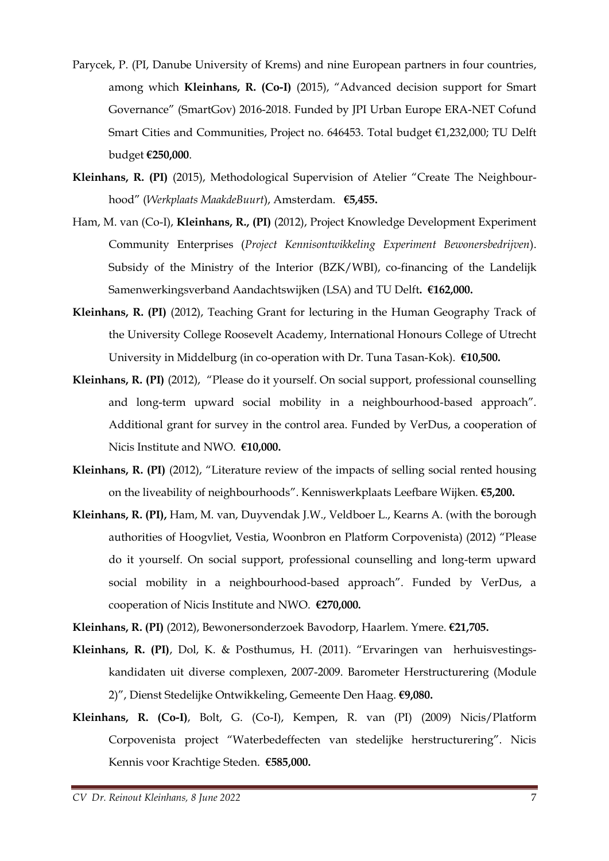- Parycek, P. (PI, Danube University of Krems) and nine European partners in four countries, among which **Kleinhans, R. (Co-I)** (2015), "Advanced decision support for Smart Governance" (SmartGov) 2016-2018. Funded by JPI Urban Europe ERA-NET Cofund Smart Cities and Communities, Project no. 646453. Total budget €1,232,000; TU Delft budget **€250,000**.
- **Kleinhans, R. (PI)** (2015), Methodological Supervision of Atelier "Create The Neighbourhood" (*Werkplaats MaakdeBuurt*), Amsterdam. **€5,455.**
- Ham, M. van (Co-I), **Kleinhans, R., (PI)** (2012), Project Knowledge Development Experiment Community Enterprises (*Project Kennisontwikkeling Experiment Bewonersbedrijven*). Subsidy of the Ministry of the Interior (BZK/WBI), co-financing of the Landelijk Samenwerkingsverband Aandachtswijken (LSA) and TU Delft**. €162,000.**
- **Kleinhans, R. (PI)** (2012), Teaching Grant for lecturing in the Human Geography Track of the University College Roosevelt Academy, International Honours College of Utrecht University in Middelburg (in co-operation with Dr. Tuna Tasan-Kok). **€10,500.**
- **Kleinhans, R. (PI)** (2012), "Please do it yourself. On social support, professional counselling and long-term upward social mobility in a neighbourhood-based approach". Additional grant for survey in the control area. Funded by VerDus, a cooperation of Nicis Institute and NWO. **€10,000.**
- **Kleinhans, R. (PI)** (2012), "Literature review of the impacts of selling social rented housing on the liveability of neighbourhoods". Kenniswerkplaats Leefbare Wijken. **€5,200.**
- **Kleinhans, R. (PI),** Ham, M. van, Duyvendak J.W., Veldboer L., Kearns A. (with the borough authorities of Hoogvliet, Vestia, Woonbron en Platform Corpovenista) (2012) "Please do it yourself. On social support, professional counselling and long-term upward social mobility in a neighbourhood-based approach". Funded by VerDus, a cooperation of Nicis Institute and NWO. **€270,000.**

**Kleinhans, R. (PI)** (2012), Bewonersonderzoek Bavodorp, Haarlem. Ymere. **€21,705.**

- **Kleinhans, R. (PI)**, Dol, K. & Posthumus, H. (2011). "Ervaringen van herhuisvestingskandidaten uit diverse complexen, 2007-2009. Barometer Herstructurering (Module 2)", Dienst Stedelijke Ontwikkeling, Gemeente Den Haag. **€9,080.**
- **Kleinhans, R. (Co-I)**, Bolt, G. (Co-I), Kempen, R. van (PI) (2009) Nicis/Platform Corpovenista project "Waterbedeffecten van stedelijke herstructurering". Nicis Kennis voor Krachtige Steden. **€585,000.**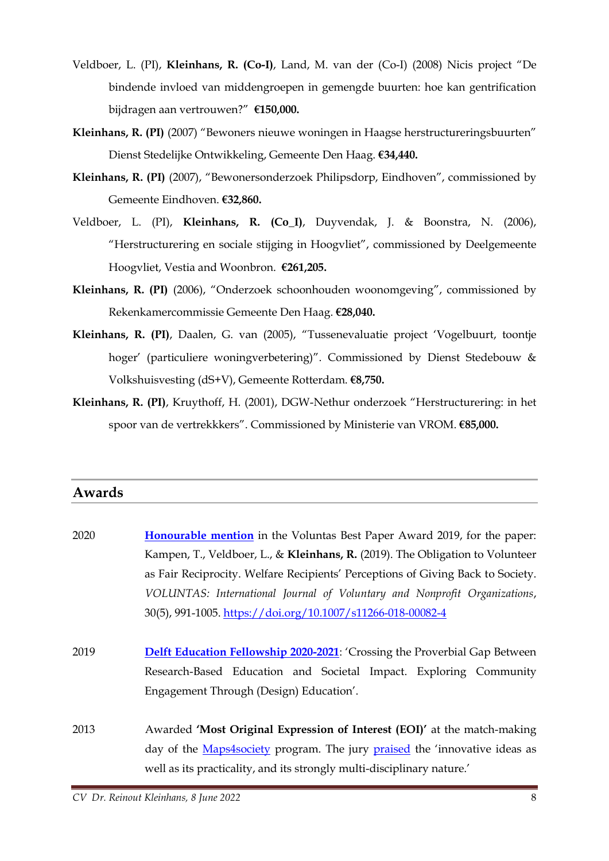- Veldboer, L. (PI), **Kleinhans, R. (Co-I)**, Land, M. van der (Co-I) (2008) Nicis project "De bindende invloed van middengroepen in gemengde buurten: hoe kan gentrification bijdragen aan vertrouwen?" **€150,000.**
- **Kleinhans, R. (PI)** (2007) "Bewoners nieuwe woningen in Haagse herstructureringsbuurten" Dienst Stedelijke Ontwikkeling, Gemeente Den Haag. **€34,440.**
- **Kleinhans, R. (PI)** (2007), "Bewonersonderzoek Philipsdorp, Eindhoven", commissioned by Gemeente Eindhoven. **€32,860.**
- Veldboer, L. (PI), **Kleinhans, R. (Co\_I)**, Duyvendak, J. & Boonstra, N. (2006), "Herstructurering en sociale stijging in Hoogvliet", commissioned by Deelgemeente Hoogvliet, Vestia and Woonbron. **€261,205.**
- **Kleinhans, R. (PI)** (2006), "Onderzoek schoonhouden woonomgeving", commissioned by Rekenkamercommissie Gemeente Den Haag. **€28,040.**
- **Kleinhans, R. (PI)**, Daalen, G. van (2005), "Tussenevaluatie project 'Vogelbuurt, toontje hoger' (particuliere woningverbetering)". Commissioned by Dienst Stedebouw & Volkshuisvesting (dS+V), Gemeente Rotterdam. **€8,750.**
- **Kleinhans, R. (PI)**, Kruythoff, H. (2001), DGW-Nethur onderzoek "Herstructurering: in het spoor van de vertrekkkers". Commissioned by Ministerie van VROM. **€85,000.**

#### **Awards**

| 2020 | <b>Honourable mention</b> in the Voluntas Best Paper Award 2019, for the paper: |
|------|---------------------------------------------------------------------------------|
|      | Kampen, T., Veldboer, L., & Kleinhans, R. (2019). The Obligation to Volunteer   |
|      | as Fair Reciprocity. Welfare Recipients' Perceptions of Giving Back to Society. |
|      | VOLUNTAS: International Journal of Voluntary and Nonprofit Organizations,       |
|      | 30(5), 991-1005. https://doi.org/10.1007/s11266-018-00082-4                     |
|      |                                                                                 |
| 2019 | Delft Education Fellowship 2020-2021: 'Crossing the Proverbial Gap Between      |
|      | Research-Based Education and Societal Impact. Exploring Community               |
|      | Engagement Through (Design) Education'.                                         |
|      |                                                                                 |
| 2013 | Awarded 'Most Original Expression of Interest (EOI)' at the match-making        |
|      | day of the Maps4society program. The jury praised the 'innovative ideas as      |
|      | well as its practicality, and its strongly multi-disciplinary nature.'          |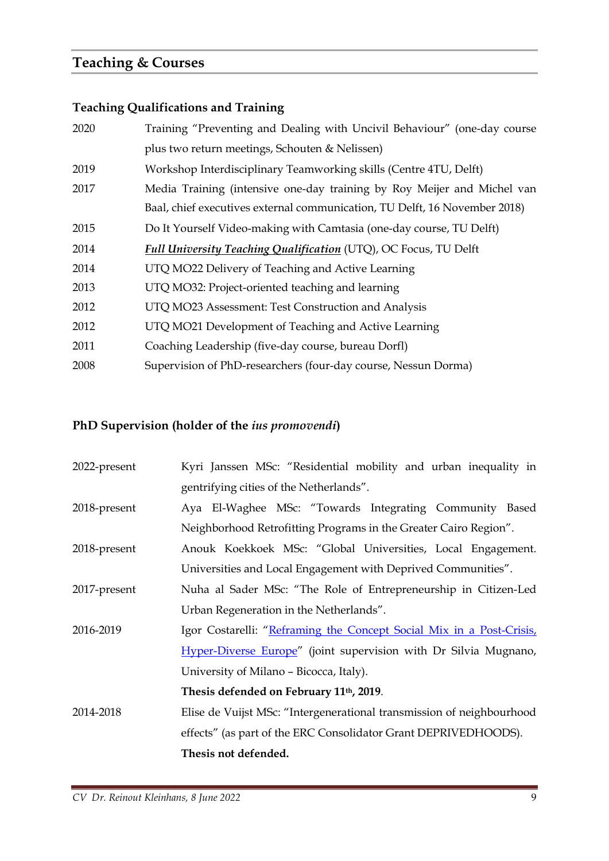## **Teaching & Courses**

### **Teaching Qualifications and Training**

| Training "Preventing and Dealing with Uncivil Behaviour" (one-day course   |
|----------------------------------------------------------------------------|
| plus two return meetings, Schouten & Nelissen)                             |
| Workshop Interdisciplinary Teamworking skills (Centre 4TU, Delft)          |
| Media Training (intensive one-day training by Roy Meijer and Michel van    |
| Baal, chief executives external communication, TU Delft, 16 November 2018) |
| Do It Yourself Video-making with Camtasia (one-day course, TU Delft)       |
| Full University Teaching Qualification (UTQ), OC Focus, TU Delft           |
| UTQ MO22 Delivery of Teaching and Active Learning                          |
| UTQ MO32: Project-oriented teaching and learning                           |
| UTQ MO23 Assessment: Test Construction and Analysis                        |
| UTQ MO21 Development of Teaching and Active Learning                       |
| Coaching Leadership (five-day course, bureau Dorfl)                        |
| Supervision of PhD-researchers (four-day course, Nessun Dorma)             |
|                                                                            |

## **PhD Supervision (holder of the** *ius promovendi***)**

| 2022-present | Kyri Janssen MSc: "Residential mobility and urban inequality in       |
|--------------|-----------------------------------------------------------------------|
|              | gentrifying cities of the Netherlands".                               |
| 2018-present | Aya El-Waghee MSc: "Towards Integrating Community Based               |
|              | Neighborhood Retrofitting Programs in the Greater Cairo Region".      |
| 2018-present | Anouk Koekkoek MSc: "Global Universities, Local Engagement.           |
|              | Universities and Local Engagement with Deprived Communities".         |
| 2017-present | Nuha al Sader MSc: "The Role of Entrepreneurship in Citizen-Led       |
|              | Urban Regeneration in the Netherlands".                               |
| 2016-2019    | Igor Costarelli: "Reframing the Concept Social Mix in a Post-Crisis,  |
|              | Hyper-Diverse Europe" (joint supervision with Dr Silvia Mugnano,      |
|              | University of Milano – Bicocca, Italy).                               |
|              | Thesis defended on February 11 <sup>th</sup> , 2019.                  |
| 2014-2018    | Elise de Vuijst MSc: "Intergenerational transmission of neighbourhood |
|              | effects" (as part of the ERC Consolidator Grant DEPRIVEDHOODS).       |
|              | Thesis not defended.                                                  |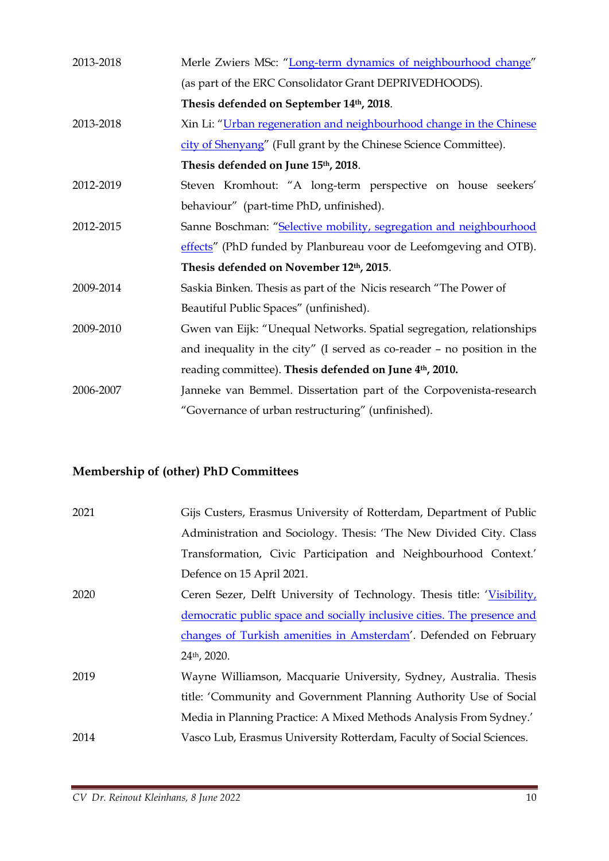| 2013-2018 | Merle Zwiers MSc: "Long-term dynamics of neighbourhood change"            |
|-----------|---------------------------------------------------------------------------|
|           | (as part of the ERC Consolidator Grant DEPRIVEDHOODS).                    |
|           | Thesis defended on September 14th, 2018.                                  |
| 2013-2018 | Xin Li: "Urban regeneration and neighbourhood change in the Chinese       |
|           | city of Shenyang" (Full grant by the Chinese Science Committee).          |
|           | Thesis defended on June 15th, 2018.                                       |
| 2012-2019 | Steven Kromhout: "A long-term perspective on house seekers'               |
|           | behaviour" (part-time PhD, unfinished).                                   |
| 2012-2015 | Sanne Boschman: "Selective mobility, segregation and neighbourhood        |
|           | effects" (PhD funded by Planbureau voor de Leefomgeving and OTB).         |
|           | Thesis defended on November 12th, 2015.                                   |
| 2009-2014 | Saskia Binken. Thesis as part of the Nicis research "The Power of         |
|           | Beautiful Public Spaces" (unfinished).                                    |
| 2009-2010 | Gwen van Eijk: "Unequal Networks. Spatial segregation, relationships      |
|           | and inequality in the city" (I served as co-reader $-$ no position in the |
|           | reading committee). Thesis defended on June 4 <sup>th</sup> , 2010.       |
| 2006-2007 | Janneke van Bemmel. Dissertation part of the Corpovenista-research        |
|           | "Governance of urban restructuring" (unfinished).                         |

## **Membership of (other) PhD Committees**

| 2021 | Gijs Custers, Erasmus University of Rotterdam, Department of Public     |
|------|-------------------------------------------------------------------------|
|      | Administration and Sociology. Thesis: 'The New Divided City. Class      |
|      | Transformation, Civic Participation and Neighbourhood Context.'         |
|      | Defence on 15 April 2021.                                               |
| 2020 | Ceren Sezer, Delft University of Technology. Thesis title: 'Visibility, |
|      | democratic public space and socially inclusive cities. The presence and |
|      | changes of Turkish amenities in Amsterdam'. Defended on February        |
|      | 24th, 2020.                                                             |
| 2019 | Wayne Williamson, Macquarie University, Sydney, Australia. Thesis       |
|      | title: 'Community and Government Planning Authority Use of Social       |
|      | Media in Planning Practice: A Mixed Methods Analysis From Sydney.'      |
| 2014 | Vasco Lub, Erasmus University Rotterdam, Faculty of Social Sciences.    |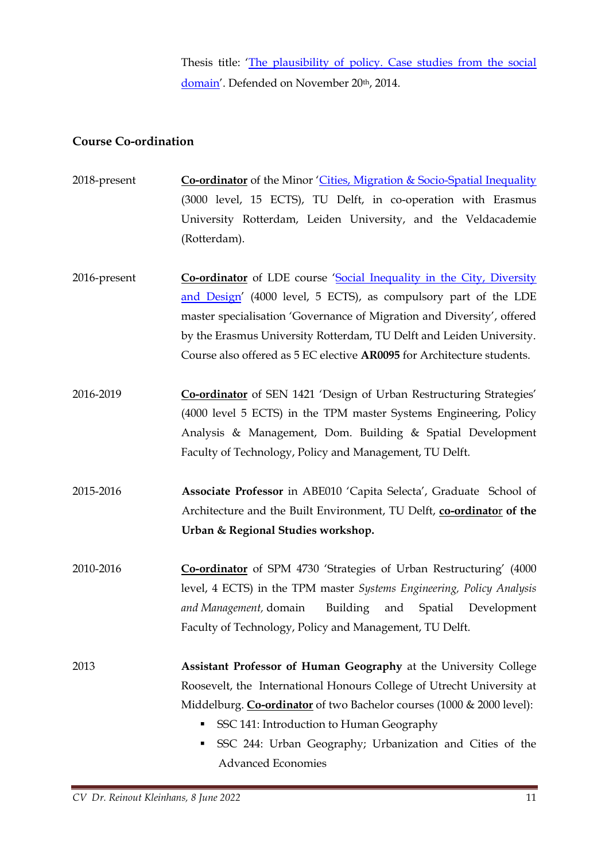Thesis title: '[The plausibility of policy. Case studies from the social](https://repub.eur.nl/pub/77173/)  [domain](https://repub.eur.nl/pub/77173/)'. Defended on November 20th, 2014.

#### **Course Co-ordination**

- 2018-present **Co-ordinator** of the Minor '[Cities, Migration & Socio-Spatial Inequality](https://www.tudelft.nl/bk/studeren/minoren-en-keuzevakken/cities-migration-socio-spatial-inequality/) (3000 level, 15 ECTS), TU Delft, in co-operation with Erasmus University Rotterdam, Leiden University, and the Veldacademie (Rotterdam).
- 2016-present **Co-ordinator** of LDE course '[Social Inequality in](https://studiegids.tudelft.nl/a101_displayCourse.do?course_id=48864) the City, Diversity [and Design](https://studiegids.tudelft.nl/a101_displayCourse.do?course_id=48864)' (4000 level, 5 ECTS), as compulsory part of the LDE master specialisation 'Governance of Migration and Diversity', offered by the Erasmus University Rotterdam, TU Delft and Leiden University. Course also offered as 5 EC elective **AR0095** for Architecture students.
- 2016-2019 **Co-ordinator** of SEN 1421 'Design of Urban Restructuring Strategies' (4000 level 5 ECTS) in the TPM master Systems Engineering, Policy Analysis & Management, Dom. Building & Spatial Development Faculty of Technology, Policy and Management, TU Delft.
- 2015-2016 **Associate Professor** in ABE010 'Capita Selecta', Graduate School of Architecture and the Built Environment, TU Delft, **co-ordinato**r **of the Urban & Regional Studies workshop.**
- 2010-2016 **Co-ordinator** of SPM 4730 'Strategies of Urban Restructuring' (4000 level, 4 ECTS) in the TPM master *Systems Engineering, Policy Analysis and Management,* domain Building and Spatial Development Faculty of Technology, Policy and Management, TU Delft.
- 2013 **Assistant Professor of Human Geography** at the University College Roosevelt, the International Honours College of Utrecht University at Middelburg. **Co-ordinator** of two Bachelor courses (1000 & 2000 level):
	- SSC 141: Introduction to Human Geography
	- SSC 244: Urban Geography; Urbanization and Cities of the Advanced Economies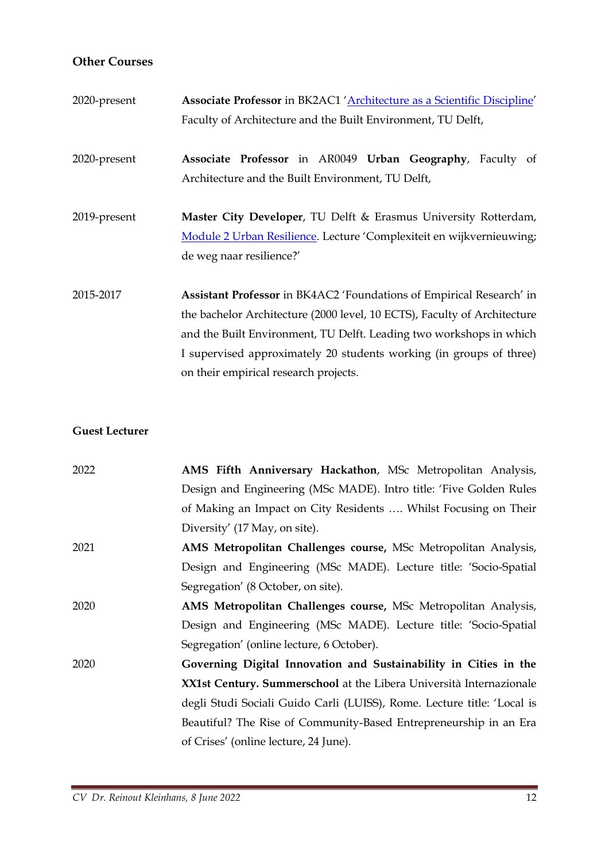#### **Other Courses**

| 2020-present | Associate Professor in BK2AC1 'Architecture as a Scientific Discipline'                                                                                                                                                                                                                                                                 |
|--------------|-----------------------------------------------------------------------------------------------------------------------------------------------------------------------------------------------------------------------------------------------------------------------------------------------------------------------------------------|
|              | Faculty of Architecture and the Built Environment, TU Delft,                                                                                                                                                                                                                                                                            |
| 2020-present | Associate Professor in AR0049 Urban Geography, Faculty of<br>Architecture and the Built Environment, TU Delft,                                                                                                                                                                                                                          |
| 2019-present | Master City Developer, TU Delft & Erasmus University Rotterdam,<br>Module 2 Urban Resilience. Lecture 'Complexiteit en wijkvernieuwing;<br>de weg naar resilience?'                                                                                                                                                                     |
| 2015-2017    | Assistant Professor in BK4AC2 'Foundations of Empirical Research' in<br>the bachelor Architecture (2000 level, 10 ECTS), Faculty of Architecture<br>and the Built Environment, TU Delft. Leading two workshops in which<br>I supervised approximately 20 students working (in groups of three)<br>on their empirical research projects. |

#### **Guest Lecturer**

| 2022 | AMS Fifth Anniversary Hackathon, MSc Metropolitan Analysis,             |
|------|-------------------------------------------------------------------------|
|      | Design and Engineering (MSc MADE). Intro title: 'Five Golden Rules      |
|      | of Making an Impact on City Residents  Whilst Focusing on Their         |
|      | Diversity' (17 May, on site).                                           |
| 2021 | AMS Metropolitan Challenges course, MSc Metropolitan Analysis,          |
|      | Design and Engineering (MSc MADE). Lecture title: 'Socio-Spatial        |
|      | Segregation' (8 October, on site).                                      |
| 2020 | AMS Metropolitan Challenges course, MSc Metropolitan Analysis,          |
|      | Design and Engineering (MSc MADE). Lecture title: 'Socio-Spatial        |
|      | Segregation' (online lecture, 6 October).                               |
| 2020 | Governing Digital Innovation and Sustainability in Cities in the        |
|      | XX1st Century. Summerschool at the Libera Università Internazionale     |
|      | degli Studi Sociali Guido Carli (LUISS), Rome. Lecture title: 'Local is |
|      | Beautiful? The Rise of Community-Based Entrepreneurship in an Era       |
|      | of Crises' (online lecture, 24 June).                                   |
|      |                                                                         |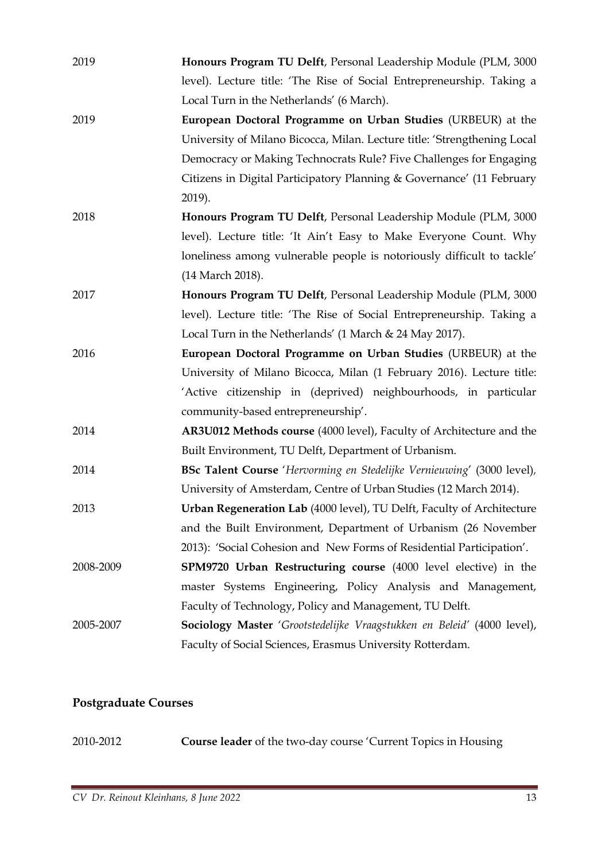| 2019      | Honours Program TU Delft, Personal Leadership Module (PLM, 3000          |
|-----------|--------------------------------------------------------------------------|
|           | level). Lecture title: 'The Rise of Social Entrepreneurship. Taking a    |
|           | Local Turn in the Netherlands' (6 March).                                |
| 2019      | European Doctoral Programme on Urban Studies (URBEUR) at the             |
|           | University of Milano Bicocca, Milan. Lecture title: 'Strengthening Local |
|           | Democracy or Making Technocrats Rule? Five Challenges for Engaging       |
|           | Citizens in Digital Participatory Planning & Governance' (11 February    |
|           | 2019).                                                                   |
| 2018      | Honours Program TU Delft, Personal Leadership Module (PLM, 3000          |
|           | level). Lecture title: 'It Ain't Easy to Make Everyone Count. Why        |
|           | loneliness among vulnerable people is notoriously difficult to tackle'   |
|           | (14 March 2018).                                                         |
| 2017      | Honours Program TU Delft, Personal Leadership Module (PLM, 3000          |
|           | level). Lecture title: 'The Rise of Social Entrepreneurship. Taking a    |
|           | Local Turn in the Netherlands' (1 March & 24 May 2017).                  |
| 2016      | European Doctoral Programme on Urban Studies (URBEUR) at the             |
|           | University of Milano Bicocca, Milan (1 February 2016). Lecture title:    |
|           | 'Active citizenship in (deprived) neighbourhoods, in particular          |
|           | community-based entrepreneurship'.                                       |
| 2014      | AR3U012 Methods course (4000 level), Faculty of Architecture and the     |
|           | Built Environment, TU Delft, Department of Urbanism.                     |
| 2014      | BSc Talent Course 'Hervorming en Stedelijke Vernieuwing' (3000 level),   |
|           | University of Amsterdam, Centre of Urban Studies (12 March 2014).        |
| 2013      | Urban Regeneration Lab (4000 level), TU Delft, Faculty of Architecture   |
|           | and the Built Environment, Department of Urbanism (26 November           |
|           | 2013): 'Social Cohesion and New Forms of Residential Participation'.     |
| 2008-2009 | SPM9720 Urban Restructuring course (4000 level elective) in the          |
|           | master Systems Engineering, Policy Analysis and Management,              |
|           | Faculty of Technology, Policy and Management, TU Delft.                  |
| 2005-2007 | Sociology Master 'Grootstedelijke Vraagstukken en Beleid' (4000 level),  |
|           | Faculty of Social Sciences, Erasmus University Rotterdam.                |

## **Postgraduate Courses**

2010-2012 **Course leader** of the two-day course 'Current Topics in Housing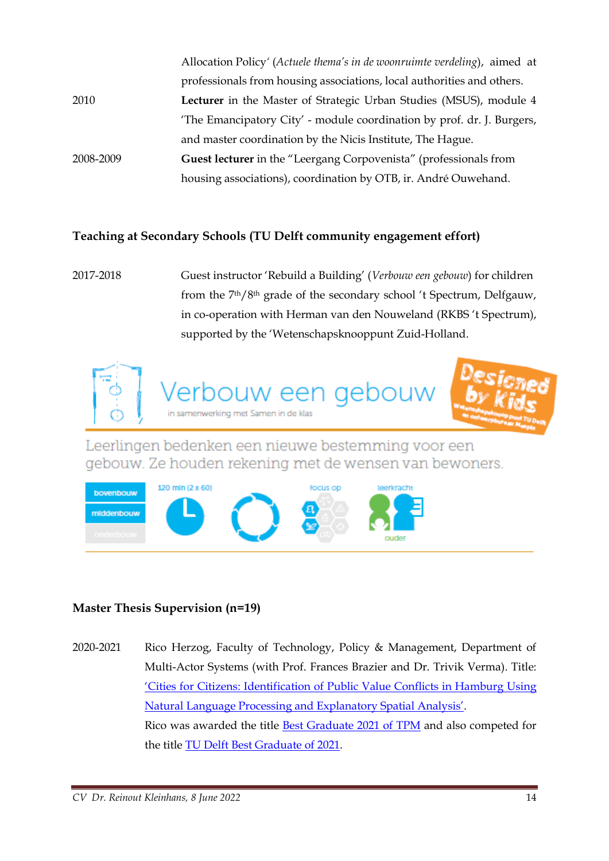|           | Allocation Policy' (Actuele thema's in de woonruimte verdeling), aimed at |
|-----------|---------------------------------------------------------------------------|
|           | professionals from housing associations, local authorities and others.    |
| 2010      | Lecturer in the Master of Strategic Urban Studies (MSUS), module 4        |
|           | 'The Emancipatory City' - module coordination by prof. dr. J. Burgers,    |
| 2008-2009 | and master coordination by the Nicis Institute, The Hague.                |
|           | <b>Guest lecturer</b> in the "Leergang Corpovenista" (professionals from  |
|           | housing associations), coordination by OTB, ir. André Ouwehand.           |

#### **Teaching at Secondary Schools (TU Delft community engagement effort)**

2017-2018 Guest instructor 'Rebuild a Building' (*Verbouw een gebouw*) for children from the 7th/8th grade of the secondary school 't Spectrum, Delfgauw, in co-operation with Herman van den Nouweland (RKBS 't Spectrum), supported by the 'Wetenschapsknooppunt Zuid-Holland.



Leerlingen bedenken een nieuwe bestemming voor een gebouw. Ze houden rekening met de wensen van bewoners.



#### **Master Thesis Supervision (n=19)**

2020-2021 Rico Herzog, Faculty of Technology, Policy & Management, Department of Multi-Actor Systems (with Prof. Frances Brazier and Dr. Trivik Verma). Title: 'Cities for Citizens: Identi[fication of Public Value Conflicts in Hamburg](https://repository.tudelft.nl/islandora/object/uuid%3A42bdc43f-8517-4068-9353-5dae014908c8?collection=education) Using [Natural Language Processing and Explanatory Spatial A](https://repository.tudelft.nl/islandora/object/uuid%3A42bdc43f-8517-4068-9353-5dae014908c8?collection=education)nalysis'. Rico was awarded the title [Best Graduate 2021 of TPM](https://www.tudelft.nl/en/2021/tbm/rico-herzog-is-best-graduate-2020-of-tpm) and also competed for the title [TU Delft Best Graduate of 2021.](https://www.tudelft.nl/en/delft-university-fund/we-support/awards/tu-delft-best-graduate-award-ceremony)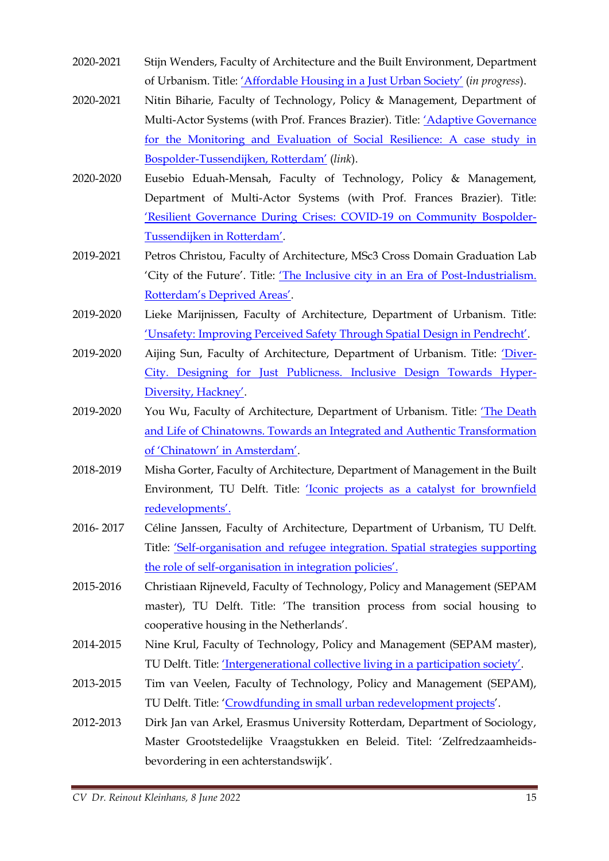- 2020-2021 Stijn Wenders, Faculty of Architecture and the Built Environment, Department of Urbanism. Title: ['Affordable Housing in a Just Urban Society'](https://repository.tudelft.nl/islandora/object/uuid%3A58005df5-0dd5-4b33-aa71-1c101de11e25?collection=education) (*in progress*).
- 2020-2021 Nitin Biharie, Faculty of Technology, Policy & Management, Department of Multi-Actor Systems (with Prof. Frances Brazier). Title: ['Adaptive Governance](https://repository.tudelft.nl/islandora/object/uuid%3A71568fad-f584-42d4-b4e6-7216cffd6e49?collection=education)  [for the Monitoring and Evaluation of Social Resilience: A case study in](https://repository.tudelft.nl/islandora/object/uuid%3A71568fad-f584-42d4-b4e6-7216cffd6e49?collection=education)  Bospolder-[Tussendijken, Rotterdam'](https://repository.tudelft.nl/islandora/object/uuid%3A71568fad-f584-42d4-b4e6-7216cffd6e49?collection=education) (*link*).
- 2020-2020 Eusebio Eduah-Mensah, Faculty of Technology, Policy & Management, Department of Multi-Actor Systems (with Prof. Frances Brazier). Title: '[Resilient Governance During Crises: COVID-19 on Community Bospolder-](https://repository.tudelft.nl/islandora/object/uuid%3A50278759-2fa9-45ad-aeb7-809f427d4895?collection=education)Tuss[endijken in Rotterdam'](https://repository.tudelft.nl/islandora/object/uuid%3A50278759-2fa9-45ad-aeb7-809f427d4895?collection=education).
- 2019-2021 Petros Christou, Faculty of Architecture, MSc3 Cross Domain Graduation Lab 'City of the Future'. Title: ['The Inclusive city in an Era of Post](https://repository.tudelft.nl/islandora/object/uuid%3Ad14014fd-3aa7-4abf-a479-123f0136163e?collection=education)-Industrialism. [Rotterdam's Deprived Areas'](https://repository.tudelft.nl/islandora/object/uuid%3Ad14014fd-3aa7-4abf-a479-123f0136163e?collection=education).
- 2019-2020 Lieke Marijnissen, Faculty of Architecture, Department of Urbanism. Title: '[Unsafety: Improving Perceived Safety Through Spatial D](https://repository.tudelft.nl/islandora/object/uuid%3Ae7f1ff56-df16-45cf-802f-89c6f7db7452?collection=education)esign in Pendrecht'.
- 2019-2020 Aijing Sun, Faculty of Architecture, Department of Urbanism. Title: ['Diver](https://repository.tudelft.nl/islandora/object/uuid%3Aef7d027a-3763-4881-97d1-9fce29e9fc54?collection=education)-[City. Designing for Just Publicness. Inclusive Design Towards Hyper-](https://repository.tudelft.nl/islandora/object/uuid%3Aef7d027a-3763-4881-97d1-9fce29e9fc54?collection=education)[Diversity, Hackney'](https://repository.tudelft.nl/islandora/object/uuid%3Aef7d027a-3763-4881-97d1-9fce29e9fc54?collection=education).
- 2019-2020 You Wu, Faculty of Architecture, Department of Urbanism. Title: 'The Death [and Life of Chinatowns. Towards an Integrated and Authentic Transformation](https://repository.tudelft.nl/islandora/object/uuid%3Ab0f54046-1cb4-414b-b0d3-e2c5781a97d1?collection=education)  [of 'Chinatown' in Amsterdam'](https://repository.tudelft.nl/islandora/object/uuid%3Ab0f54046-1cb4-414b-b0d3-e2c5781a97d1?collection=education).
- 2018-2019 Misha Gorter, Faculty of Architecture, Department of Management in the Built Environment, TU Delft. Title: ['Iconic projects as a catalyst for brownfield](https://repository.tudelft.nl/islandora/object/uuid%3Adf913037-dea1-48b3-bb61-ac5637b9b663)  red[evelopments'.](https://repository.tudelft.nl/islandora/object/uuid%3Adf913037-dea1-48b3-bb61-ac5637b9b663)
- 2016- 2017 Céline Janssen, Faculty of Architecture, Department of Urbanism, TU Delft. Title: '[Self-organisation and refugee integration. Spatial strategies supporting](https://repository.tudelft.nl/islandora/object/uuid%3Ab859aa16-c5cb-4ec0-af1c-1326575c305f)  [the role of self-organisation in integration policies](https://repository.tudelft.nl/islandora/object/uuid%3Ab859aa16-c5cb-4ec0-af1c-1326575c305f)'.
- 2015-2016 Christiaan Rijneveld, Faculty of Technology, Policy and Management (SEPAM master), TU Delft. Title: 'The transition process from social housing to cooperative housing in the Netherlands'.
- 2014-2015 Nine Krul, Faculty of Technology, Policy and Management (SEPAM master), TU Delft. Title: ['Intergenerational collective living in a participation society'](http://repository.tudelft.nl/view/ir/uuid%3Ad37309c5-79b7-46fc-9b01-439064a0ef7a/).
- 2013-2015 Tim van Veelen, Faculty of Technology, Policy and Management (SEPAM), TU Delft. Title: 'Crowdfunding in [small urban redevelopment projects](http://repository.tudelft.nl/view/ir/uuid%3Abf8caf4f-79a8-4257-ac88-948518f5cc36/)'.
- 2012-2013 Dirk Jan van Arkel, Erasmus University Rotterdam, Department of Sociology, Master Grootstedelijke Vraagstukken en Beleid. Titel: 'Zelfredzaamheidsbevordering in een achterstandswijk'.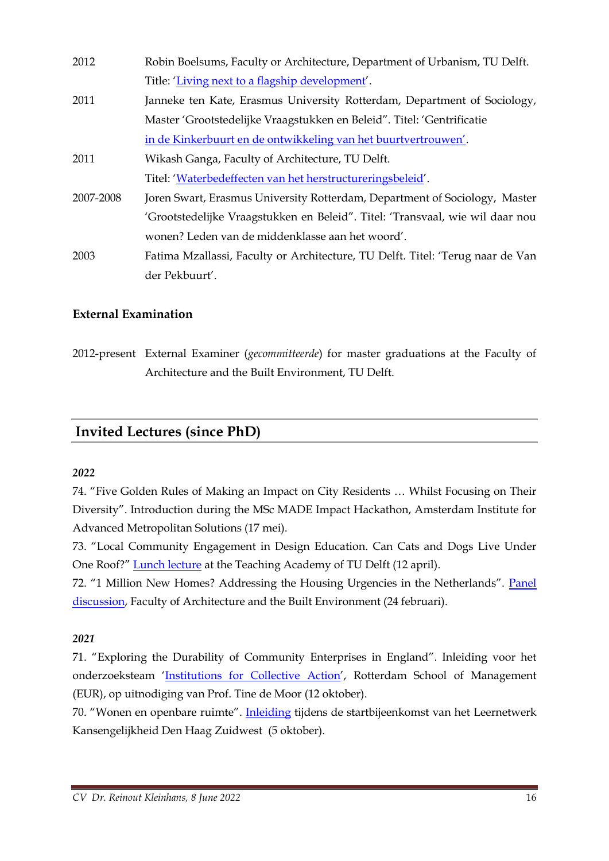| 2012      | Robin Boelsums, Faculty or Architecture, Department of Urbanism, TU Delft.     |
|-----------|--------------------------------------------------------------------------------|
|           | Title: 'Living next to a flagship development'.                                |
| 2011      | Janneke ten Kate, Erasmus University Rotterdam, Department of Sociology,       |
|           | Master 'Grootstedelijke Vraagstukken en Beleid". Titel: 'Gentrificatie         |
|           | in de Kinkerbuurt en de ontwikkeling van het buurtvertrouwen'.                 |
| 2011      | Wikash Ganga, Faculty of Architecture, TU Delft.                               |
|           | Titel: 'Waterbedeffecten van het herstructureringsbeleid'.                     |
| 2007-2008 | Joren Swart, Erasmus University Rotterdam, Department of Sociology, Master     |
|           | 'Grootstedelijke Vraagstukken en Beleid". Titel: 'Transvaal, wie wil daar nou  |
|           | wonen? Leden van de middenklasse aan het woord'.                               |
| 2003      | Fatima Mzallassi, Faculty or Architecture, TU Delft. Titel: 'Terug naar de Van |
|           | der Pekbuurt'.                                                                 |

#### **External Examination**

2012-present External Examiner (*gecommitteerde*) for master graduations at the Faculty of Architecture and the Built Environment, TU Delft.

### **Invited Lectures (since PhD)**

#### *2022*

74. "Five Golden Rules of Making an Impact on City Residents … Whilst Focusing on Their Diversity". Introduction during the MSc MADE Impact Hackathon, Amsterdam Institute for Advanced Metropolitan Solutions (17 mei).

73. "Local Community Engagement in Design Education. Can Cats and Dogs Live Under One Roof?" [Lunch lecture](https://collegerama.tudelft.nl/Mediasite/Showcase/esa-teachingacademy/Presentation/94e6bb48f7f54b76aa0ef824417fee501d) at the Teaching Academy of TU Delft (12 april).

72. "1 Million New Homes? Addressing the Housing Urgencies in the Netherlands". Panel [discussion,](https://www.youtube.com/watch?v=9rY2pgi6iaM) Faculty of Architecture and the Built Environment (24 februari).

#### *2021*

71. "Exploring the Durability of Community Enterprises in England". Inleiding voor het onderzoeksteam '[Institutions for Collective Action](http://www.collective-action.info/)', Rotterdam School of Management (EUR), op uitnodiging van Prof. Tine de Moor (12 oktober).

70. "Wonen en openbare ruimte". [Inleiding](https://www.linkedin.com/feed/update/urn%3Ali%3Aactivity%3A6853598737999237120/?midToken=AQEBDSh2vYIaeQ&midSig=12keHQQUTFzpY1&trk=eml-email_notification_single_mentioned_you_in_this_01-notifications-1-hero%7Ecard%7Efeed&trkEmail=eml-email_notification_single_mentioned_you_in_this_01-notifications-1-hero%7Ecard%7Efeed-null-snkn0%7Ekunt0850%7Evw-null-voyagerOffline) tijdens de startbijeenkomst van het Leernetwerk Kansengelijkheid Den Haag Zuidwest (5 oktober).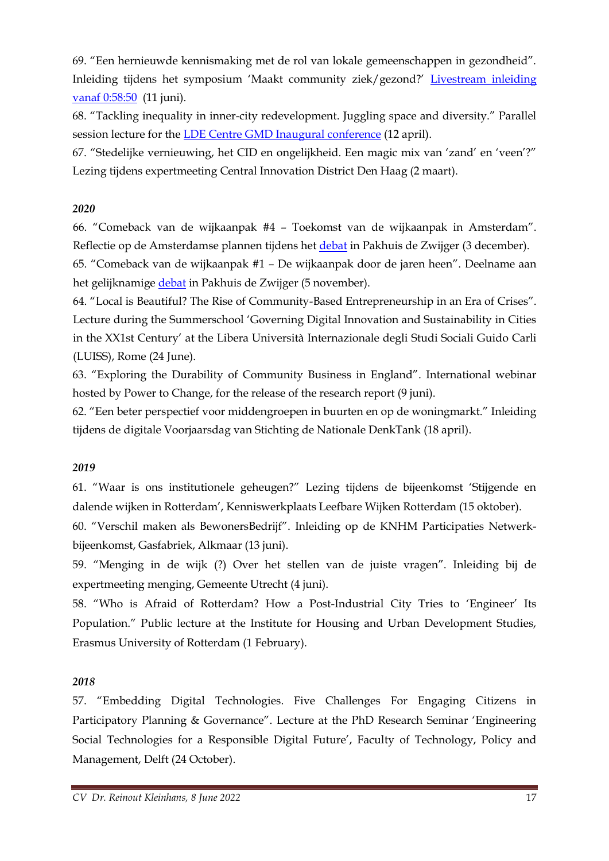69. "Een hernieuwde kennismaking met de rol van lokale gemeenschappen in gezondheid". Inleiding tijdens het symposium 'Maakt community ziek/gezond?' [Livestream inleiding](https://weblectures.leidenuniv.nl/Mediasite/Play/edb9f0641fea4e0ba3dc3a9658f291441d)  [vanaf 0:58:50](https://weblectures.leidenuniv.nl/Mediasite/Play/edb9f0641fea4e0ba3dc3a9658f291441d) (11 juni).

68. "Tackling inequality in inner-city redevelopment. Juggling space and diversity." Parallel session lecture for the **LDE** Centre GMD Inaugural conference (12 april).

67. "Stedelijke vernieuwing, het CID en ongelijkheid. Een magic mix van 'zand' en 'veen'?" Lezing tijdens expertmeeting Central Innovation District Den Haag (2 maart).

#### *2020*

66. "Comeback van de wijkaanpak #4 – Toekomst van de wijkaanpak in Amsterdam". Reflectie op de Amsterdamse plannen tijdens het [debat](https://dezwijger.nl/programma/de-toekomst-van-de-wijkaanpak-in-amsterdam) in Pakhuis de Zwijger (3 december).

65. "Comeback van de wijkaanpak #1 – De wijkaanpak door de jaren heen". Deelname aan het gelijknamig[e debat](https://www.youtube.com/watch?v=0ChQLlvQWno&feature=emb_logo) in Pakhuis de Zwijger (5 november).

64. "Local is Beautiful? The Rise of Community-Based Entrepreneurship in an Era of Crises". Lecture during the Summerschool 'Governing Digital Innovation and Sustainability in Cities in the XX1st Century' at the Libera Università Internazionale degli Studi Sociali Guido Carli (LUISS), Rome (24 June).

63. "Exploring the Durability of Community Business in England". International webinar hosted by Power to Change, for the release of the research report (9 juni).

62. "Een beter perspectief voor middengroepen in buurten en op de woningmarkt." Inleiding tijdens de digitale Voorjaarsdag van Stichting de Nationale DenkTank (18 april).

#### *2019*

61. "Waar is ons institutionele geheugen?" Lezing tijdens de bijeenkomst 'Stijgende en dalende wijken in Rotterdam', Kenniswerkplaats Leefbare Wijken Rotterdam (15 oktober).

60. "Verschil maken als BewonersBedrijf". Inleiding op de KNHM Participaties Netwerkbijeenkomst, Gasfabriek, Alkmaar (13 juni).

59. "Menging in de wijk (?) Over het stellen van de juiste vragen". Inleiding bij de expertmeeting menging, Gemeente Utrecht (4 juni).

58. "Who is Afraid of Rotterdam? How a Post-Industrial City Tries to 'Engineer' Its Population." Public lecture at the Institute for Housing and Urban Development Studies, Erasmus University of Rotterdam (1 February).

#### *2018*

57. "Embedding Digital Technologies. Five Challenges For Engaging Citizens in Participatory Planning & Governance". Lecture at the PhD Research Seminar 'Engineering Social Technologies for a Responsible Digital Future', Faculty of Technology, Policy and Management, Delft (24 October).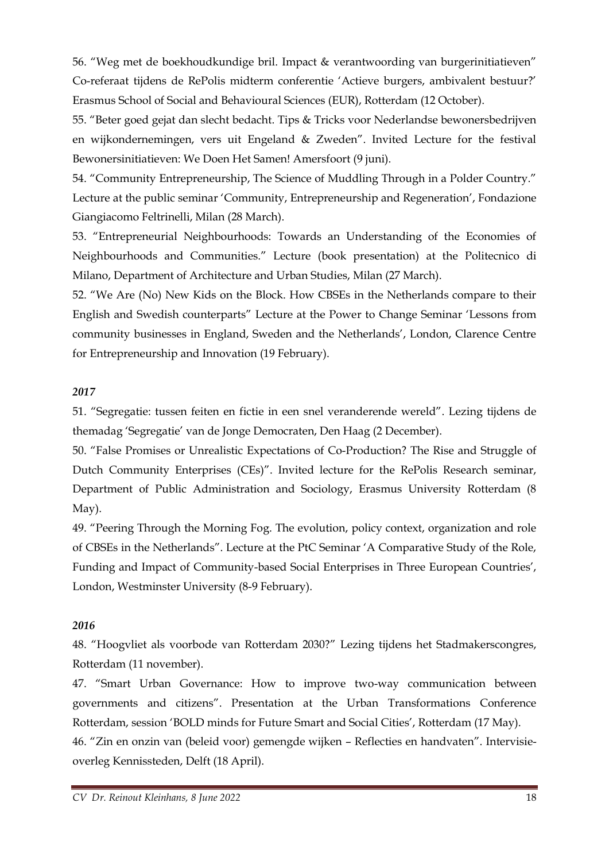56. "Weg met de boekhoudkundige bril. Impact & verantwoording van burgerinitiatieven" Co-referaat tijdens de RePolis midterm conferentie 'Actieve burgers, ambivalent bestuur?' Erasmus School of Social and Behavioural Sciences (EUR), Rotterdam (12 October).

55. "Beter goed gejat dan slecht bedacht. Tips & Tricks voor Nederlandse bewonersbedrijven en wijkondernemingen, vers uit Engeland & Zweden". Invited Lecture for the festival Bewonersinitiatieven: We Doen Het Samen! Amersfoort (9 juni).

54. "Community Entrepreneurship, The Science of Muddling Through in a Polder Country." Lecture at the public seminar 'Community, Entrepreneurship and Regeneration', Fondazione Giangiacomo Feltrinelli, Milan (28 March).

53. "Entrepreneurial Neighbourhoods: Towards an Understanding of the Economies of Neighbourhoods and Communities." Lecture (book presentation) at the Politecnico di Milano, Department of Architecture and Urban Studies, Milan (27 March).

52. "We Are (No) New Kids on the Block. How CBSEs in the Netherlands compare to their English and Swedish counterparts" Lecture at the Power to Change Seminar 'Lessons from community businesses in England, Sweden and the Netherlands', London, Clarence Centre for Entrepreneurship and Innovation (19 February).

#### *2017*

51. "Segregatie: tussen feiten en fictie in een snel veranderende wereld". Lezing tijdens de themadag 'Segregatie' van de Jonge Democraten, Den Haag (2 December).

50. "False Promises or Unrealistic Expectations of Co-Production? The Rise and Struggle of Dutch Community Enterprises (CEs)". Invited lecture for the RePolis Research seminar, Department of Public Administration and Sociology, Erasmus University Rotterdam (8 May).

49. "Peering Through the Morning Fog. The evolution, policy context, organization and role of CBSEs in the Netherlands". Lecture at the PtC Seminar 'A Comparative Study of the Role, Funding and Impact of Community-based Social Enterprises in Three European Countries', London, Westminster University (8-9 February).

#### *2016*

48. "Hoogvliet als voorbode van Rotterdam 2030?" Lezing tijdens het Stadmakerscongres, Rotterdam (11 november).

47. "Smart Urban Governance: How to improve two-way communication between governments and citizens". Presentation at the Urban Transformations Conference Rotterdam, session 'BOLD minds for Future Smart and Social Cities', Rotterdam (17 May).

46. "Zin en onzin van (beleid voor) gemengde wijken – Reflecties en handvaten". Intervisieoverleg Kennissteden, Delft (18 April).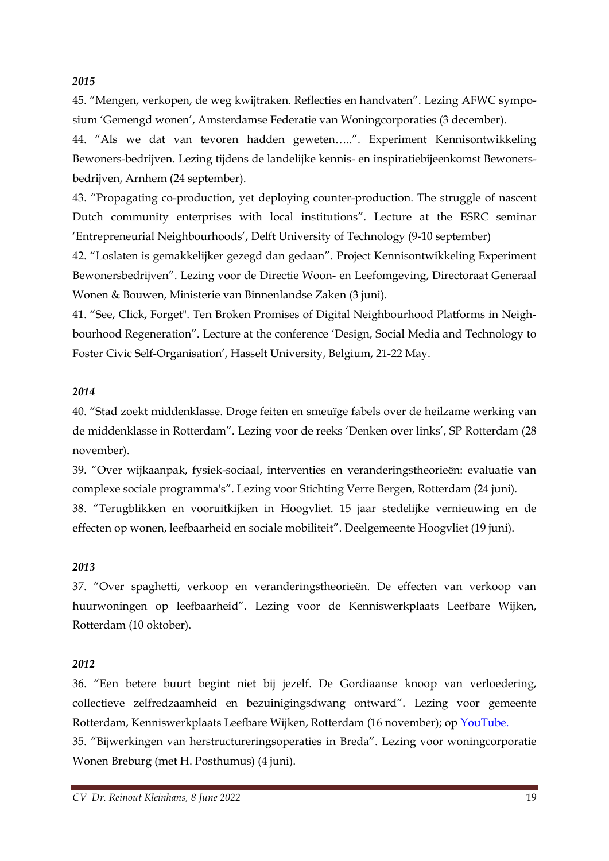#### *2015*

45. "Mengen, verkopen, de weg kwijtraken. Reflecties en handvaten". Lezing AFWC symposium 'Gemengd wonen', Amsterdamse Federatie van Woningcorporaties (3 december).

44. "Als we dat van tevoren hadden geweten…..". Experiment Kennisontwikkeling Bewoners-bedrijven. Lezing tijdens de landelijke kennis- en inspiratiebijeenkomst Bewonersbedrijven, Arnhem (24 september).

43. "Propagating co-production, yet deploying counter-production. The struggle of nascent Dutch community enterprises with local institutions". Lecture at the ESRC seminar 'Entrepreneurial Neighbourhoods', Delft University of Technology (9-10 september)

42. "Loslaten is gemakkelijker gezegd dan gedaan". Project Kennisontwikkeling Experiment Bewonersbedrijven". Lezing voor de Directie Woon- en Leefomgeving, Directoraat Generaal Wonen & Bouwen, Ministerie van Binnenlandse Zaken (3 juni).

41. "See, Click, Forget". Ten Broken Promises of Digital Neighbourhood Platforms in Neighbourhood Regeneration". Lecture at the conference 'Design, Social Media and Technology to Foster Civic Self-Organisation', Hasselt University, Belgium, 21-22 May.

#### *2014*

40. "Stad zoekt middenklasse. Droge feiten en smeuïge fabels over de heilzame werking van de middenklasse in Rotterdam". Lezing voor de reeks 'Denken over links', SP Rotterdam (28 november).

39. "Over wijkaanpak, fysiek-sociaal, interventies en veranderingstheorieën: evaluatie van complexe sociale programma's". Lezing voor Stichting Verre Bergen, Rotterdam (24 juni). 38. "Terugblikken en vooruitkijken in Hoogvliet. 15 jaar stedelijke vernieuwing en de effecten op wonen, leefbaarheid en sociale mobiliteit". Deelgemeente Hoogvliet (19 juni).

#### *2013*

37. "Over spaghetti, verkoop en veranderingstheorieën. De effecten van verkoop van huurwoningen op leefbaarheid". Lezing voor de Kenniswerkplaats Leefbare Wijken, Rotterdam (10 oktober).

#### *2012*

36. "Een betere buurt begint niet bij jezelf. De Gordiaanse knoop van verloedering, collectieve zelfredzaamheid en bezuinigingsdwang ontward". Lezing voor gemeente Rotterdam, Kenniswerkplaats Leefbare Wijken, Rotterdam (16 november); op [YouTube.](https://www.youtube.com/watch?v=VQ182fmuz5E&feature=youtu.be&hd=1) 35. "Bijwerkingen van herstructureringsoperaties in Breda". Lezing voor woningcorporatie

Wonen Breburg (met H. Posthumus) (4 juni).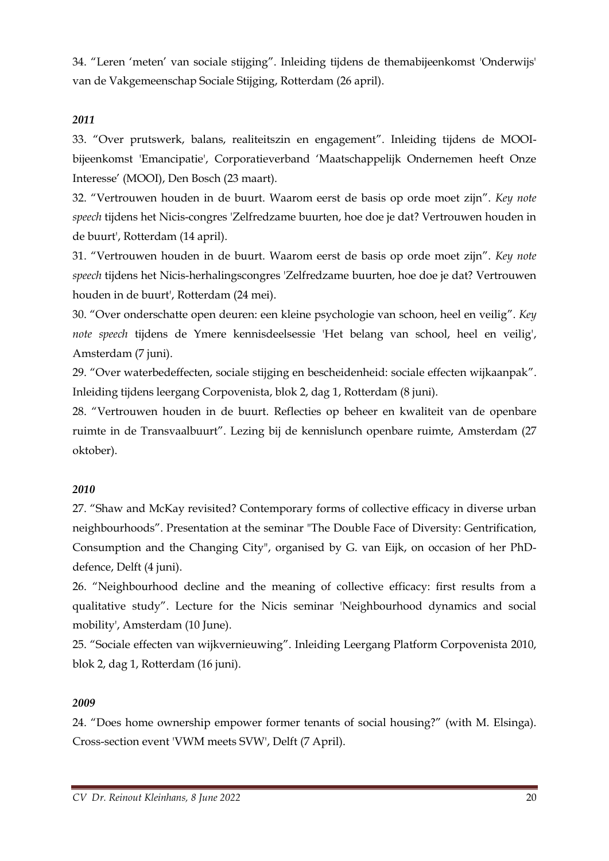34. "Leren 'meten' van sociale stijging". Inleiding tijdens de themabijeenkomst 'Onderwijs' van de Vakgemeenschap Sociale Stijging, Rotterdam (26 april).

#### *2011*

33. "Over prutswerk, balans, realiteitszin en engagement". Inleiding tijdens de MOOIbijeenkomst 'Emancipatie', Corporatieverband 'Maatschappelijk Ondernemen heeft Onze Interesse' (MOOI), Den Bosch (23 maart).

32. "Vertrouwen houden in de buurt. Waarom eerst de basis op orde moet zijn". *Key note speech* tijdens het Nicis-congres 'Zelfredzame buurten, hoe doe je dat? Vertrouwen houden in de buurt', Rotterdam (14 april).

31. "Vertrouwen houden in de buurt. Waarom eerst de basis op orde moet zijn". *Key note speech* tijdens het Nicis-herhalingscongres 'Zelfredzame buurten, hoe doe je dat? Vertrouwen houden in de buurt', Rotterdam (24 mei).

30. "Over onderschatte open deuren: een kleine psychologie van schoon, heel en veilig". *Key note speech* tijdens de Ymere kennisdeelsessie 'Het belang van school, heel en veilig', Amsterdam (7 juni).

29. "Over waterbedeffecten, sociale stijging en bescheidenheid: sociale effecten wijkaanpak". Inleiding tijdens leergang Corpovenista, blok 2, dag 1, Rotterdam (8 juni).

28. "Vertrouwen houden in de buurt. Reflecties op beheer en kwaliteit van de openbare ruimte in de Transvaalbuurt". Lezing bij de kennislunch openbare ruimte, Amsterdam (27 oktober).

#### *2010*

27. "Shaw and McKay revisited? Contemporary forms of collective efficacy in diverse urban neighbourhoods". Presentation at the seminar "The Double Face of Diversity: Gentrification, Consumption and the Changing City", organised by G. van Eijk, on occasion of her PhDdefence, Delft (4 juni).

26. "Neighbourhood decline and the meaning of collective efficacy: first results from a qualitative study". Lecture for the Nicis seminar 'Neighbourhood dynamics and social mobility', Amsterdam (10 June).

25. "Sociale effecten van wijkvernieuwing". Inleiding Leergang Platform Corpovenista 2010, blok 2, dag 1, Rotterdam (16 juni).

#### *2009*

24. "Does home ownership empower former tenants of social housing?" (with M. Elsinga). Cross-section event 'VWM meets SVW', Delft (7 April).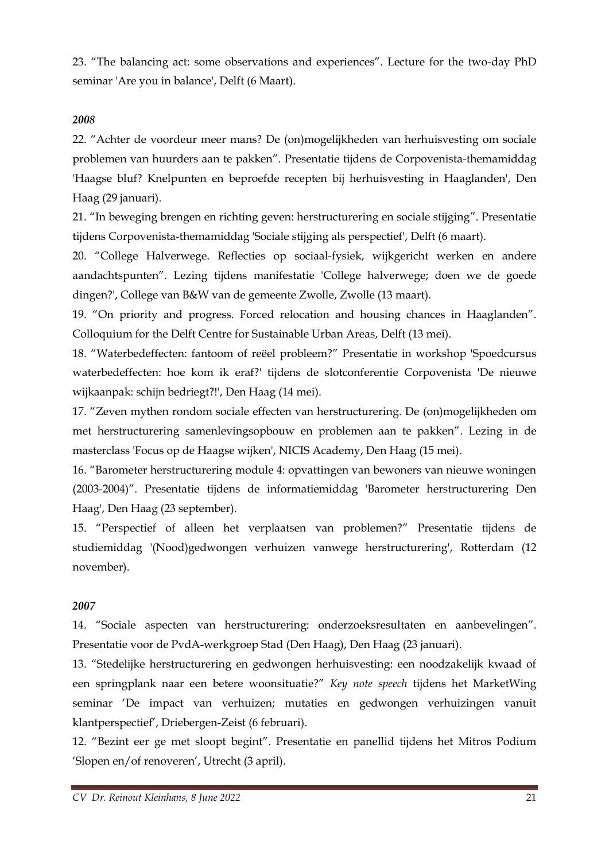23. "The balancing act: some observations and experiences". Lecture for the two-day PhD seminar 'Are you in balance', Delft (6 Maart).

#### *2008*

22. "Achter de voordeur meer mans? De (on)mogelijkheden van herhuisvesting om sociale problemen van huurders aan te pakken". Presentatie tijdens de Corpovenista-themamiddag 'Haagse bluf? Knelpunten en beproefde recepten bij herhuisvesting in Haaglanden', Den Haag (29 januari).

21. "In beweging brengen en richting geven: herstructurering en sociale stijging". Presentatie tijdens Corpovenista-themamiddag 'Sociale stijging als perspectief', Delft (6 maart).

20. "College Halverwege. Reflecties op sociaal-fysiek, wijkgericht werken en andere aandachtspunten". Lezing tijdens manifestatie 'College halverwege; doen we de goede dingen?', College van B&W van de gemeente Zwolle, Zwolle (13 maart).

19. "On priority and progress. Forced relocation and housing chances in Haaglanden". Colloquium for the Delft Centre for Sustainable Urban Areas, Delft (13 mei).

18. "Waterbedeffecten: fantoom of reëel probleem?" Presentatie in workshop 'Spoedcursus waterbedeffecten: hoe kom ik eraf?' tijdens de slotconferentie Corpovenista 'De nieuwe wijkaanpak: schijn bedriegt?!', Den Haag (14 mei).

17. "Zeven mythen rondom sociale effecten van herstructurering. De (on)mogelijkheden om met herstructurering samenlevingsopbouw en problemen aan te pakken". Lezing in de masterclass 'Focus op de Haagse wijken', NICIS Academy, Den Haag (15 mei).

16. "Barometer herstructurering module 4: opvattingen van bewoners van nieuwe woningen (2003-2004)". Presentatie tijdens de informatiemiddag 'Barometer herstructurering Den Haag', Den Haag (23 september).

15. "Perspectief of alleen het verplaatsen van problemen?" Presentatie tijdens de studiemiddag '(Nood)gedwongen verhuizen vanwege herstructurering', Rotterdam (12 november).

#### *2007*

14. "Sociale aspecten van herstructurering: onderzoeksresultaten en aanbevelingen". Presentatie voor de PvdA-werkgroep Stad (Den Haag), Den Haag (23 januari).

13. "Stedelijke herstructurering en gedwongen herhuisvesting: een noodzakelijk kwaad of een springplank naar een betere woonsituatie?" *Key note speech* tijdens het MarketWing seminar 'De impact van verhuizen; mutaties en gedwongen verhuizingen vanuit klantperspectief', Driebergen-Zeist (6 februari).

12. "Bezint eer ge met sloopt begint". Presentatie en panellid tijdens het Mitros Podium 'Slopen en/of renoveren', Utrecht (3 april).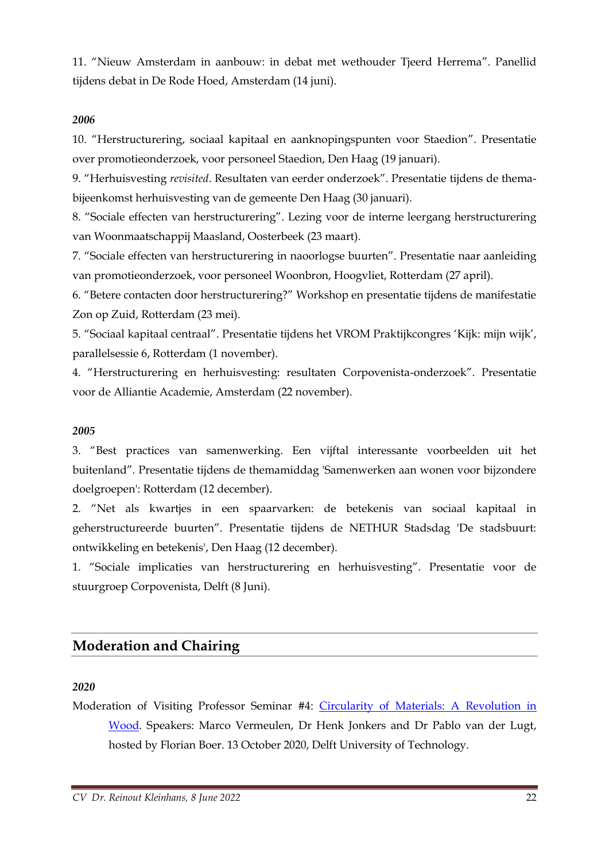11. "Nieuw Amsterdam in aanbouw: in debat met wethouder Tjeerd Herrema". Panellid tijdens debat in De Rode Hoed, Amsterdam (14 juni).

#### *2006*

10. "Herstructurering, sociaal kapitaal en aanknopingspunten voor Staedion". Presentatie over promotieonderzoek, voor personeel Staedion, Den Haag (19 januari).

9. "Herhuisvesting *revisited*. Resultaten van eerder onderzoek". Presentatie tijdens de themabijeenkomst herhuisvesting van de gemeente Den Haag (30 januari).

8. "Sociale effecten van herstructurering". Lezing voor de interne leergang herstructurering van Woonmaatschappij Maasland, Oosterbeek (23 maart).

7. "Sociale effecten van herstructurering in naoorlogse buurten". Presentatie naar aanleiding van promotieonderzoek, voor personeel Woonbron, Hoogvliet, Rotterdam (27 april).

6. "Betere contacten door herstructurering?" Workshop en presentatie tijdens de manifestatie Zon op Zuid, Rotterdam (23 mei).

5. "Sociaal kapitaal centraal". Presentatie tijdens het VROM Praktijkcongres 'Kijk: mijn wijk', parallelsessie 6, Rotterdam (1 november).

4. "Herstructurering en herhuisvesting: resultaten Corpovenista-onderzoek". Presentatie voor de Alliantie Academie, Amsterdam (22 november).

#### *2005*

3. "Best practices van samenwerking. Een vijftal interessante voorbeelden uit het buitenland". Presentatie tijdens de themamiddag 'Samenwerken aan wonen voor bijzondere doelgroepen': Rotterdam (12 december).

2. "Net als kwartjes in een spaarvarken: de betekenis van sociaal kapitaal in geherstructureerde buurten". Presentatie tijdens de NETHUR Stadsdag 'De stadsbuurt: ontwikkeling en betekenis', Den Haag (12 december).

1. "Sociale implicaties van herstructurering en herhuisvesting". Presentatie voor de stuurgroep Corpovenista, Delft (8 Juni).

#### **Moderation and Chairing**

#### *2020*

Moderation of Visiting Professor Seminar #4: [Circularity of Materials: A Revolution in](https://www.youtube.com/watch?v=U-fotCThRmA)  [Wood.](https://www.youtube.com/watch?v=U-fotCThRmA) Speakers: Marco Vermeulen, Dr Henk Jonkers and Dr Pablo van der Lugt, hosted by Florian Boer. 13 October 2020, Delft University of Technology.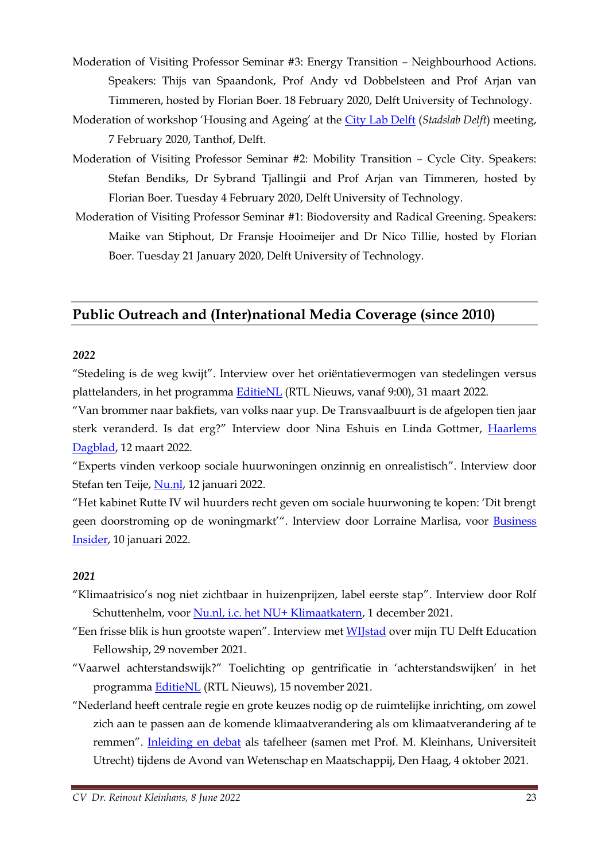- Moderation of Visiting Professor Seminar #3: Energy Transition Neighbourhood Actions. Speakers: Thijs van Spaandonk, Prof Andy vd Dobbelsteen and Prof Arjan van Timmeren, hosted by Florian Boer. 18 February 2020, Delft University of Technology.
- Moderation of workshop 'Housing and Ageing' at the [City Lab Delft](https://twitter.com/piekeh/status/1225714781161754624) (*Stadslab Delft*) meeting, 7 February 2020, Tanthof, Delft.
- Moderation of Visiting Professor Seminar #2: Mobility Transition Cycle City. Speakers: Stefan Bendiks, Dr Sybrand Tjallingii and Prof Arjan van Timmeren, hosted by Florian Boer. Tuesday 4 February 2020, Delft University of Technology.
- Moderation of Visiting Professor Seminar #1: Biodoversity and Radical Greening. Speakers: Maike van Stiphout, Dr Fransje Hooimeijer and Dr Nico Tillie, hosted by Florian Boer. Tuesday 21 January 2020, Delft University of Technology.

## **Public Outreach and (Inter)national Media Coverage (since 2010)**

#### *2022*

"Stedeling is de weg kwijt". Interview over het oriëntatievermogen van stedelingen versus plattelanders, in het programma [EditieNL](https://www.rtlnieuws.nl/video/uitzendingen/video/5298930/afl-90) (RTL Nieuws, vanaf 9:00), 31 maart 2022.

"Van brommer naar bakfiets, van volks naar yup. De Transvaalbuurt is de afgelopen tien jaar sterk veranderd. Is dat erg?" Interview door Nina Eshuis en Linda Gottmer, [Haarlems](https://www.haarlemsdagblad.nl/cnt/dmf20220311_52757789?utm_medium=email)  [Dagblad,](https://www.haarlemsdagblad.nl/cnt/dmf20220311_52757789?utm_medium=email) 12 maart 2022.

"Experts vinden verkoop sociale huurwoningen onzinnig en onrealistisch". Interview door Stefan ten Teije, [Nu.nl,](https://www.nu.nl/nu-wonen/6177094/experts-vinden-verkoop-sociale-huurwoningen-onzinnig-en-onrealistisch.html?_ga=2.131952006.828103489.1641892635-985696541.1492773285&redirect=1) 12 januari 2022.

"Het kabinet Rutte IV wil huurders recht geven om sociale huurwoning te kopen: 'Dit brengt geen doorstroming op de woningmarkt'". Interview door Lorraine Marlisa, voor [Business](https://www.businessinsider.nl/verkoop-sociale-huurwoning-aan-huurder/)  [Insider,](https://www.businessinsider.nl/verkoop-sociale-huurwoning-aan-huurder/) 10 januari 2022.

#### *2021*

- "Klimaatrisico's nog niet zichtbaar in huizenprijzen, label eerste stap". Interview door Rolf Schuttenhelm, voor [Nu.nl, i.c. het NU+ Klimaatkatern,](https://www.nu.nl/nu-klimaat/6170178/huizenkopers-kijken-niet-naar-klimaatrisicos-een-nieuw-label-kan-helpen.htmlhttps:/www.nu.nl/nu-klimaat/6170178/huizenkopers-kijken-niet-naar-klimaatrisicos-een-nieuw-label-kan-helpen.html) 1 december 2021.
- "Een frisse blik is hun grootste wapen". Interview met [WIJstad](https://www.tudelft.nl/wijstad/verhalen/een-frisse-blik-is-hun-grootste-wapen) over mijn TU Delft Education Fellowship, 29 november 2021.
- "Vaarwel achterstandswijk?" Toelichting op gentrificatie in 'achterstandswijken' in het programma [EditieNL](https://www.rtlnieuws.nl/video/uitzendingen/video/5267395/afl-319) (RTL Nieuws), 15 november 2021.
- "Nederland heeft centrale regie en grote keuzes nodig op de ruimtelijke inrichting, om zowel zich aan te passen aan de komende klimaatverandering als om klimaatverandering af te remmen". [Inleiding en debat](https://www.avondwenm.nl/images/avonden/avond-2021/tafelwetenschappers_2021.pdf) als tafelheer (samen met Prof. M. Kleinhans, Universiteit Utrecht) tijdens de Avond van Wetenschap en Maatschappij, Den Haag, 4 oktober 2021.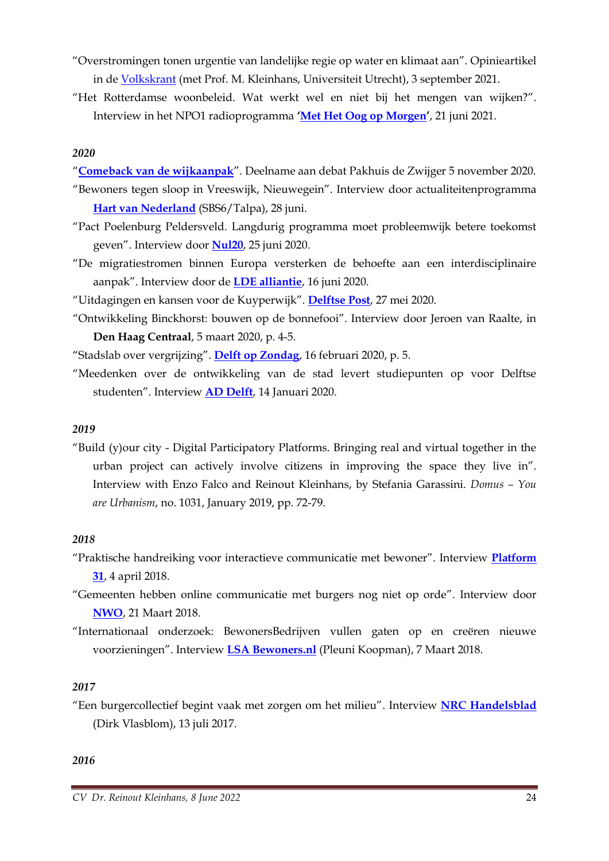- "Overstromingen tonen urgentie van landelijke regie op water en klimaat aan". Opinieartikel in de [Volkskrant](https://www.volkskrant.nl/columns-opinie/opinie-overstromingen-tonen-urgentie-van-landelijke-regie-op-water-en-klimaat-aan~b9fd3290/) (met Prof. M. Kleinhans, Universiteit Utrecht), 3 september 2021.
- "Het Rotterdamse woonbeleid. Wat werkt wel en niet bij het mengen van wijken?". Interview in het NPO1 radioprogramma **'[Met Het Oog op Morgen](https://www.nporadio1.nl/fragmenten/nos-met-het-oog-op-morgen/c1fd530c-b427-400b-9e12-2db767a233d0/2021-06-21-null)'**, 21 juni 2021.

#### *2020*

"**[Comeback van de wijkaanpak](https://www.youtube.com/watch?v=0ChQLlvQWno&feature=emb_logo)**". Deelname aan debat Pakhuis de Zwijger 5 november 2020.

- "Bewoners tegen sloop in Vreeswijk, Nieuwegein". Interview door actualiteitenprogramma **[Hart van Nederland](https://www.hartvannederland.nl/nieuws/2020/bewoners-vreeswijk-boos-sloop/)** (SBS6/Talpa), 28 juni.
- "Pact Poelenburg Peldersveld. Langdurig programma moet probleemwijk betere toekomst geven". Interview door **[Nul20](https://www.nul20.nl/dossiers/pact-poelenburg-peldersveld)**, 25 juni 2020.
- "De migratiestromen binnen Europa versterken de behoefte aan een interdisciplinaire aanpak". Interview door de **[LDE alliantie](https://www.leiden-delft-erasmus.nl/nl/nieuws/de-migratiestromen-binnen-europa-versterken-de-behoefte-aan-een-interdisciplinaire-aanpak)**, 16 juni 2020.
- "Uitdagingen en kansen voor de Kuyperwijk". **[Delftse Post](https://www.delftsepost.nl/nieuws/nieuwsflits/981195/uitdagingen-en-kansen-voor-de-kuyperwijk)**, 27 mei 2020.
- "Ontwikkeling Binckhorst: bouwen op de bonnefooi". Interview door Jeroen van Raalte, in **Den Haag Centraal**, 5 maart 2020, p. 4-5.

"Stadslab over vergrijzing". **[Delft op Zondag](https://www.delftopzondag.nl/reader/22721#p=2)**, 16 februari 2020, p. 5.

"Meedenken over de ontwikkeling van de stad levert studiepunten op voor Delftse studenten". Interview **[AD Delft](https://www.ad.nl/delft/meedenken-over-de-ontwikkeling-van-de-stad-levert-studiepunten-op-voor-delftse-studenten~acf0ac70/)**, 14 Januari 2020.

#### *2019*

"Build (y)our city - Digital Participatory Platforms. Bringing real and virtual together in the urban project can actively involve citizens in improving the space they live in". Interview with Enzo Falco and Reinout Kleinhans, by Stefania Garassini. *Domus – You are Urbanism*, no. 1031, January 2019, pp. 72-79.

#### *2018*

- "Praktische handreiking voor interactieve communicatie met bewoner". Interview **[Platform](https://www.platform31.nl/nieuws/praktische-handreiking-voor-interactieve-communicatie-met-bewoner)  [31](https://www.platform31.nl/nieuws/praktische-handreiking-voor-interactieve-communicatie-met-bewoner)**, 4 april 2018.
- "Gemeenten hebben online communicatie met burgers nog niet op orde". Interview door **[NWO](https://www.nwo.nl/actueel/nieuws/2018/03/gemeenten-hebben-online-communicatie-met-burgers-nog-niet-op-orde.html)**, 21 Maart 2018.
- "Internationaal onderzoek: BewonersBedrijven vullen gaten op en creëren nieuwe voorzieningen". Interview **LSA [Bewoners.nl](https://www.lsabewoners.nl/internationaal-onderzoek-bewonersbedrijven-vullen-gaten-op-en-creeren-nieuwe-voorzieningen/)** (Pleuni Koopman), 7 Maart 2018.

#### *2017*

"Een burgercollectief begint vaak met zorgen om het milieu". Interview **[NRC Handelsblad](https://www.nrc.nl/nieuws/2017/07/13/een-burgercollectief-begint-vaak-met-zorgen-om-het-milieu-11996151-a1566562)** (Dirk Vlasblom), 13 juli 2017.

#### *2016*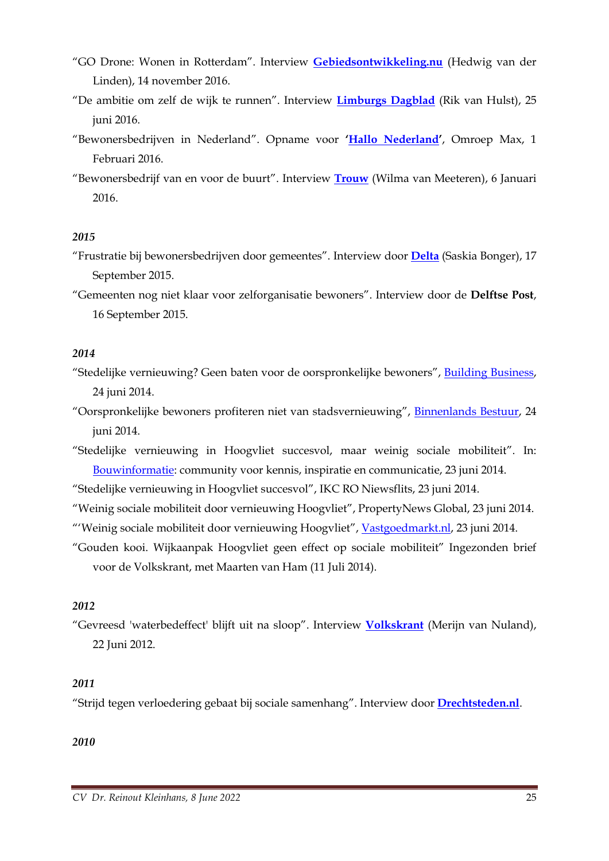- "GO Drone: Wonen in Rotterdam". Interview **[Gebiedsontwikkeling.nu](https://www.gebiedsontwikkeling.nu/artikelen/go-drone-wonen-rotterdam/)** (Hedwig van der Linden), 14 november 2016.
- "De ambitie om zelf de wijk te runnen". Interview **[Limburgs Dagblad](http://repository.tudelft.nl/metisrepo/20160628/Limburgs_Dagblad_25_juni_De_ambitie_zelf_de_wijk_te_runnen_Kleinhans.pdf)** (Rik van Hulst), 25 juni 2016.
- "Bewonersbedrijven in Nederland". Opname voor **'[Hallo Nederland](http://www.omroepmax.nl/hallonederland/uitzending/tv/hallo-nederland-maandag-1-februari-2016/)'**, Omroep Max, 1 Februari 2016.
- "Bewonersbedrijf van en voor de buurt". Interview **[Trouw](http://www.bewonersbedrijven.nl/wp-content/uploads/2016/01/trouw-06012016-BewonersBedrijven.pdf)** (Wilma van Meeteren), 6 Januari 2016.

#### *2015*

"Frustratie bij bewonersbedrijven door gemeentes". Interview door **[Delta](http://delta.tudelft.nl/artikel/frustratie-bij-bewonersbedrijven-door-gemeentes/30420)** (Saskia Bonger), 17 September 2015.

"Gemeenten nog niet klaar voor zelforganisatie bewoners". Interview door de **Delftse Post**, 16 September 2015.

#### *2014*

- "Stedelijke vernieuwing? Geen baten voor de oorspronkelijke bewoners", [Building Business,](http://www.buildingbusiness.nl/news/1298/15/Stedelijke-vernieuwing-Geen-baten-voor-de-oorspronkelijke-bewoners/) 24 juni 2014.
- "Oorspronkelijke bewoners profiteren niet van stadsvernieuwing", [Binnenlands Bestuur,](http://www.binnenlandsbestuur.nl/ruimte-en-milieu/nieuws/oorspronkelijke-bewoners-profiteren-niet-van.9426191.lynkx) 24 juni 2014.
- "Stedelijke vernieuwing in Hoogvliet succesvol, maar weinig sociale mobiliteit". In: [Bouwinformatie:](http://www.bouwformatie.nl/bouwnieuws/stedelijke-vernieuwing-in-hoogvliet-succesvol-maar-weinig-sociale-mobiliteit) community voor kennis, inspiratie en communicatie, 23 juni 2014.
- "Stedelijke vernieuwing in Hoogvliet succesvol", IKC RO Niewsflits, 23 juni 2014.
- "Weinig sociale mobiliteit door vernieuwing Hoogvliet", PropertyNews Global, 23 juni 2014.
- "'Weinig sociale mobiliteit door vernieuwing Hoogvliet", [Vastgoedmarkt.nl,](http://www.vastgoedmarkt.nl/nieuws/2014/06/23/Weinig-sociale-mobiliteit-door-vernieuwing-Hoogvliet) 23 juni 2014.
- "Gouden kooi. Wijkaanpak Hoogvliet geen effect op sociale mobiliteit" Ingezonden brief voor de Volkskrant, met Maarten van Ham (11 Juli 2014).

#### *2012*

"Gevreesd 'waterbedeffect' blijft uit na sloop". Interview **[Volkskrant](http://www.volkskrant.nl/archief/gevreesd-waterbedeffect-blijft-uit-na-sloop~a3275048/)** (Merijn van Nuland), 22 Juni 2012.

#### *2011*

"Strijd tegen verloedering gebaat bij sociale samenhang". Interview door **[Drechtsteden.nl](https://www.drechtsteden.nl/dds/up/ZwvcobjIiD_persbericht_Vertrouwen_houden_in_de_buurtDEF.pdf)**.

*2010*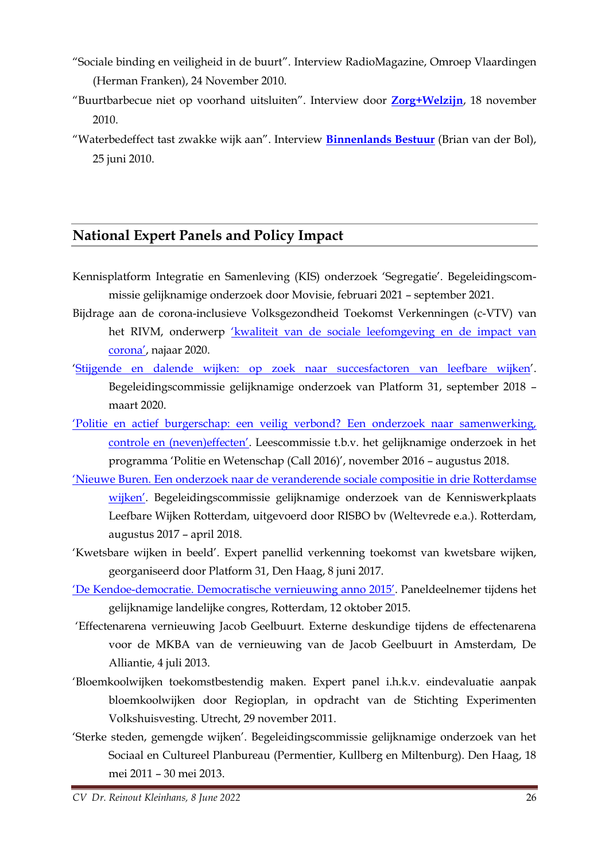- "Sociale binding en veiligheid in de buurt". Interview RadioMagazine, Omroep Vlaardingen (Herman Franken), 24 November 2010.
- "Buurtbarbecue niet op voorhand uitsluiten". Interview door **[Zorg+Welzijn](https://www.zorgwelzijn.nl/buurtbarbecue-niet-op-voorhand-uitsluiten-zwz016401w/)**, 18 november 2010.
- "Waterbedeffect tast zwakke wijk aan". Interview **[Binnenlands Bestuur](https://www.binnenlandsbestuur.nl/sociaal/nieuws/waterbedeffect-tast-zwakke-wijk-aan.195355.lynkx)** (Brian van der Bol), 25 juni 2010.

## **National Expert Panels and Policy Impact**

- Kennisplatform Integratie en Samenleving (KIS) onderzoek 'Segregatie'. Begeleidingscommissie gelijknamige onderzoek door Movisie, februari 2021 – september 2021.
- Bijdrage aan de corona-inclusieve Volksgezondheid Toekomst Verkenningen (c-VTV) van het RIVM, onderwerp ['kwaliteit van de sociale leefomgeving en de impact van](https://www.volksgezondheidtoekomstverkenning.nl/c-vtv/leefomgeving/sociaal)  [corona'](https://www.volksgezondheidtoekomstverkenning.nl/c-vtv/leefomgeving/sociaal), najaar 2020.
- '[Stijgende en dalende wijken: op zoek naar succesfactoren van leefbare wijken](https://www.platform31.nl/thema-s/wonen/stijgende-en-dalende-wijken-op-zoek-naar-succesfactoren-van-leefbare-wijken?utm_source=Platform31&utm_campaign=51c723cfea-Platform31_Nieuwsbrief_&utm_medium=email&utm_term=0_a4fff22241-51c723cfea-39165481)'. Begeleidingscommissie gelijknamige onderzoek van Platform 31, september 2018 – maart 2020.
- ['Politie en actief burgerschap: een veilig verbond? Een onderzoek naar samenwerking,](https://www.politieenwetenschap.nl/publicatie/politiewetenschap/2019/politie-en-actief-burgerschap-een-veilig-verbond-322/)  [controle en \(neven\)effecten'](https://www.politieenwetenschap.nl/publicatie/politiewetenschap/2019/politie-en-actief-burgerschap-een-veilig-verbond-322/). Leescommissie t.b.v. het gelijknamige onderzoek in het programma 'Politie en Wetenschap (Call 2016)', november 2016 – augustus 2018.
- ['Nieuwe Buren. Een onderzoek naar de veranderende sociale compositie in drie Rotter](http://www.kenniswerkplaats-leefbarewijken.nl/publicaties/nieuwe-buren-een-onderzoek-naar-de-veranderende-sociale-compositie-in-drie-rotterdamse-wijken/)damse [wijken'](http://www.kenniswerkplaats-leefbarewijken.nl/publicaties/nieuwe-buren-een-onderzoek-naar-de-veranderende-sociale-compositie-in-drie-rotterdamse-wijken/). Begeleidingscommissie gelijknamige onderzoek van de Kenniswerkplaats Leefbare Wijken Rotterdam, uitgevoerd door RISBO bv (Weltevrede e.a.). Rotterdam, augustus 2017 – april 2018.
- 'Kwetsbare wijken in beeld'. Expert panellid verkenning toekomst van kwetsbare wijken, georganiseerd door Platform 31, Den Haag, 8 juni 2017.
- 'De Kendoe-[democratie. Democratische vernieuwing anno 2015'](https://vimeo.com/143229495). Paneldeelnemer tijdens het gelijknamige landelijke congres, Rotterdam, 12 oktober 2015.
- 'Effectenarena vernieuwing Jacob Geelbuurt. Externe deskundige tijdens de effectenarena voor de MKBA van de vernieuwing van de Jacob Geelbuurt in Amsterdam, De Alliantie, 4 juli 2013.
- 'Bloemkoolwijken toekomstbestendig maken. Expert panel i.h.k.v. eindevaluatie aanpak bloemkoolwijken door Regioplan, in opdracht van de Stichting Experimenten Volkshuisvesting. Utrecht, 29 november 2011.
- 'Sterke steden, gemengde wijken'. Begeleidingscommissie gelijknamige onderzoek van het Sociaal en Cultureel Planbureau (Permentier, Kullberg en Miltenburg). Den Haag, 18 mei 2011 – 30 mei 2013.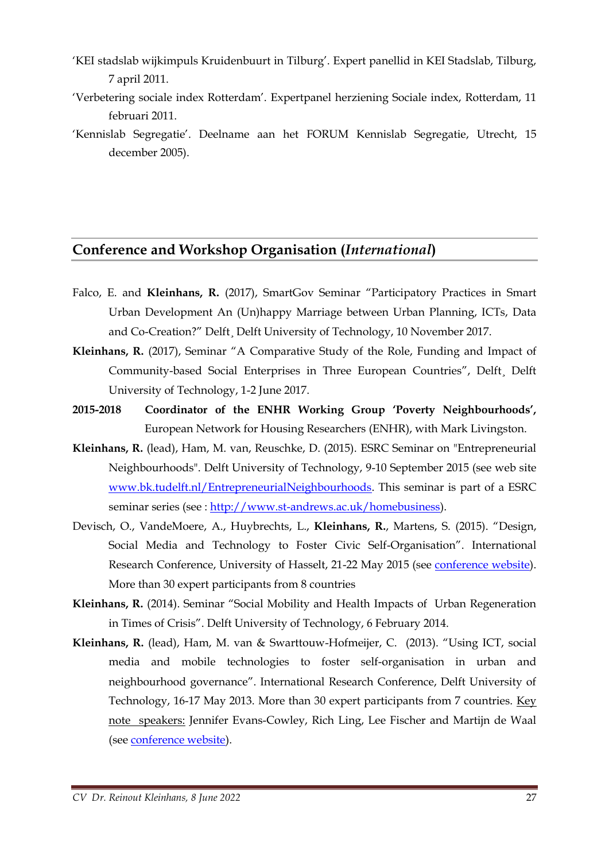- 'KEI stadslab wijkimpuls Kruidenbuurt in Tilburg'. Expert panellid in KEI Stadslab, Tilburg, 7 april 2011.
- 'Verbetering sociale index Rotterdam'. Expertpanel herziening Sociale index, Rotterdam, 11 februari 2011.
- 'Kennislab Segregatie'. Deelname aan het FORUM Kennislab Segregatie, Utrecht, 15 december 2005).

### **Conference and Workshop Organisation (***International***)**

- Falco, E. and **Kleinhans, R.** (2017), SmartGov Seminar "Participatory Practices in Smart Urban Development An (Un)happy Marriage between Urban Planning, ICTs, Data and Co-Creation?" Delft¸ Delft University of Technology, 10 November 2017.
- **Kleinhans, R.** (2017), Seminar "A Comparative Study of the Role, Funding and Impact of Community-based Social Enterprises in Three European Countries", Delft¸ Delft University of Technology, 1-2 June 2017.
- **2015-2018 Coordinator of the ENHR Working Group 'Poverty Neighbourhoods',**  European Network for Housing Researchers (ENHR), with Mark Livingston.
- **Kleinhans, R.** (lead), Ham, M. van, Reuschke, D. (2015). ESRC Seminar on "Entrepreneurial Neighbourhoods". Delft University of Technology, 9-10 September 2015 (see web site [www.bk.tudelft.nl/EntrepreneurialNeighbourhoods.](http://www.bk.tudelft.nl/EntrepreneurialNeighbourhoods) This seminar is part of a ESRC seminar series (see : [http://www.st-andrews.ac.uk/homebusiness\)](http://www.st-andrews.ac.uk/homebusiness).
- Devisch, O., VandeMoere, A., Huybrechts, L., **Kleinhans, R.**, Martens, S. (2015). "Design, Social Media and Technology to Foster Civic Self-Organisation". International Research Conference, University of Hasselt, 21-22 May 2015 (see [conference website\)](http://www.uhasselt.be/UH/Design,-Social-Media-and-Technology-to-Foster-Civic-Self-Organisation/Design,-Social-Media-and-Technology-to-Foster-Civic-Self-Organisation-Algemeen-Scientific-committee.html). More than 30 expert participants from 8 countries
- **Kleinhans, R.** (2014). Seminar "Social Mobility and Health Impacts of Urban Regeneration in Times of Crisis". Delft University of Technology, 6 February 2014.
- **Kleinhans, R.** (lead), Ham, M. van & Swarttouw-Hofmeijer, C. (2013). "Using ICT, social media and mobile technologies to foster self-organisation in urban and neighbourhood governance". International Research Conference, Delft University of Technology, 16-17 May 2013. More than 30 expert participants from 7 countries. Key note speakers: Jennifer Evans-Cowley, Rich Ling, Lee Fischer and Martijn de Waal (see [conference website\)](http://www.otb.tudelft.nl/socialmedia).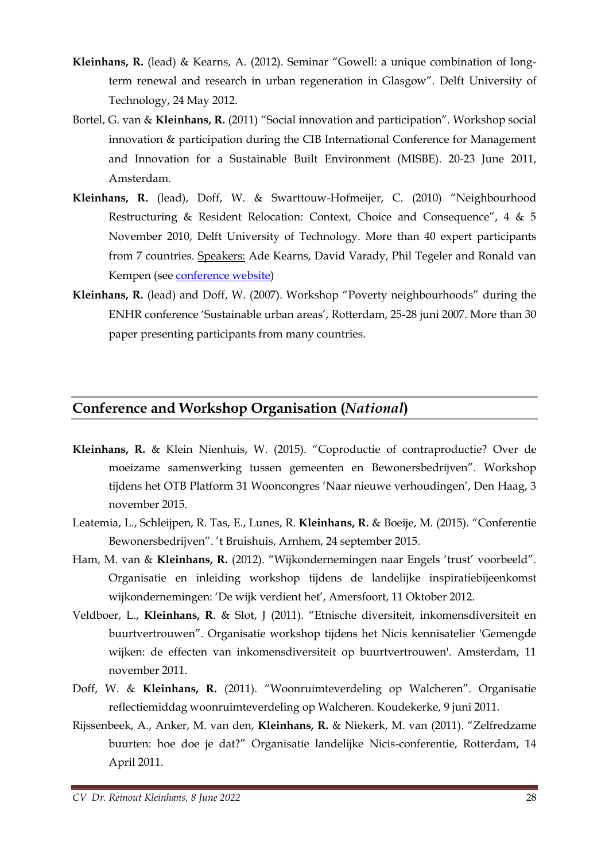- **Kleinhans, R.** (lead) & Kearns, A. (2012). Seminar "Gowell: a unique combination of longterm renewal and research in urban regeneration in Glasgow". Delft University of Technology, 24 May 2012.
- Bortel, G. van & **Kleinhans, R.** (2011) "Social innovation and participation". Workshop social innovation & participation during the CIB International Conference for Management and Innovation for a Sustainable Built Environment (MISBE). 20-23 June 2011, Amsterdam.
- **Kleinhans, R.** (lead), Doff, W. & Swarttouw-Hofmeijer, C. (2010) "Neighbourhood Restructuring & Resident Relocation: Context, Choice and Consequence", 4 & 5 November 2010, Delft University of Technology. More than 40 expert participants from 7 countries. Speakers: Ade Kearns, David Varady, Phil Tegeler and Ronald van Kempen (see [conference website\)](http://otb.tudelft.nl/index.php?id=14651&L=1)
- **Kleinhans, R.** (lead) and Doff, W. (2007). Workshop "Poverty neighbourhoods" during the ENHR conference 'Sustainable urban areas', Rotterdam, 25-28 juni 2007. More than 30 paper presenting participants from many countries.

#### **Conference and Workshop Organisation (***National***)**

- **Kleinhans, R.** & Klein Nienhuis, W. (2015). "Coproductie of contraproductie? Over de moeizame samenwerking tussen gemeenten en Bewonersbedrijven". Workshop tijdens het OTB Platform 31 Wooncongres 'Naar nieuwe verhoudingen', Den Haag, 3 november 2015.
- Leatemia, L., Schleijpen, R. Tas, E., Lunes, R. **Kleinhans, R.** & Boeije, M. (2015). "Conferentie Bewonersbedrijven". 't Bruishuis, Arnhem, 24 september 2015.
- Ham, M. van & **Kleinhans, R.** (2012). "Wijkondernemingen naar Engels 'trust' voorbeeld". Organisatie en inleiding workshop tijdens de landelijke inspiratiebijeenkomst wijkondernemingen: 'De wijk verdient het', Amersfoort, 11 Oktober 2012.
- Veldboer, L., **Kleinhans, R**. & Slot, J (2011). "Etnische diversiteit, inkomensdiversiteit en buurtvertrouwen". Organisatie workshop tijdens het Nicis kennisatelier 'Gemengde wijken: de effecten van inkomensdiversiteit op buurtvertrouwen'. Amsterdam, 11 november 2011.
- Doff, W. & **Kleinhans, R.** (2011). "Woonruimteverdeling op Walcheren". Organisatie reflectiemiddag woonruimteverdeling op Walcheren. Koudekerke, 9 juni 2011.
- Rijssenbeek, A., Anker, M. van den, **Kleinhans, R.** & Niekerk, M. van (2011). "Zelfredzame buurten: hoe doe je dat?" Organisatie landelijke Nicis-conferentie, Rotterdam, 14 April 2011.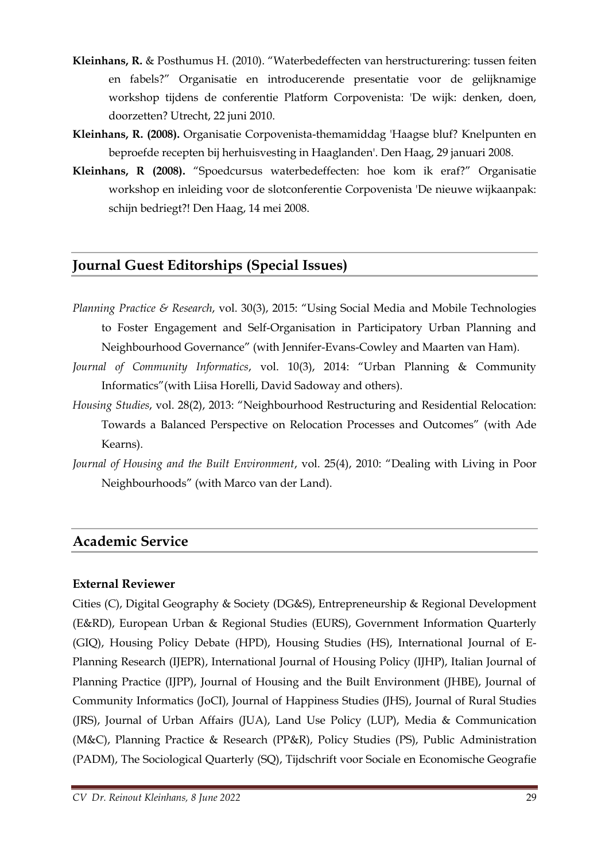- **Kleinhans, R.** & Posthumus H. (2010). "Waterbedeffecten van herstructurering: tussen feiten en fabels?" Organisatie en introducerende presentatie voor de gelijknamige workshop tijdens de conferentie Platform Corpovenista: 'De wijk: denken, doen, doorzetten? Utrecht, 22 juni 2010.
- **Kleinhans, R. (2008).** Organisatie Corpovenista-themamiddag 'Haagse bluf? Knelpunten en beproefde recepten bij herhuisvesting in Haaglanden'. Den Haag, 29 januari 2008.
- **Kleinhans, R (2008).** "Spoedcursus waterbedeffecten: hoe kom ik eraf?" Organisatie workshop en inleiding voor de slotconferentie Corpovenista 'De nieuwe wijkaanpak: schijn bedriegt?! Den Haag, 14 mei 2008.

## **Journal Guest Editorships (Special Issues)**

- *Planning Practice & Research*, vol. 30(3), 2015: "Using Social Media and Mobile Technologies to Foster Engagement and Self-Organisation in Participatory Urban Planning and Neighbourhood Governance" (with Jennifer-Evans-Cowley and Maarten van Ham).
- *Journal of Community Informatics*, vol. 10(3), 2014: "Urban Planning & Community Informatics"(with Liisa Horelli, David Sadoway and others).
- *Housing Studies*, vol. 28(2), 2013: "Neighbourhood Restructuring and Residential Relocation: Towards a Balanced Perspective on Relocation Processes and Outcomes" (with Ade Kearns).
- *Journal of Housing and the Built Environment*, vol. 25(4), 2010: "Dealing with Living in Poor Neighbourhoods" (with Marco van der Land).

### **Academic Service**

#### **External Reviewer**

Cities (C), Digital Geography & Society (DG&S), Entrepreneurship & Regional Development (E&RD), European Urban & Regional Studies (EURS), Government Information Quarterly (GIQ), Housing Policy Debate (HPD), Housing Studies (HS), International Journal of E-Planning Research (IJEPR), International Journal of Housing Policy (IJHP), Italian Journal of Planning Practice (IJPP), Journal of Housing and the Built Environment (JHBE), Journal of Community Informatics (JoCI), Journal of Happiness Studies (JHS), Journal of Rural Studies (JRS), Journal of Urban Affairs (JUA), Land Use Policy (LUP), Media & Communication (M&C), Planning Practice & Research (PP&R), Policy Studies (PS), Public Administration (PADM), The Sociological Quarterly (SQ), Tijdschrift voor Sociale en Economische Geografie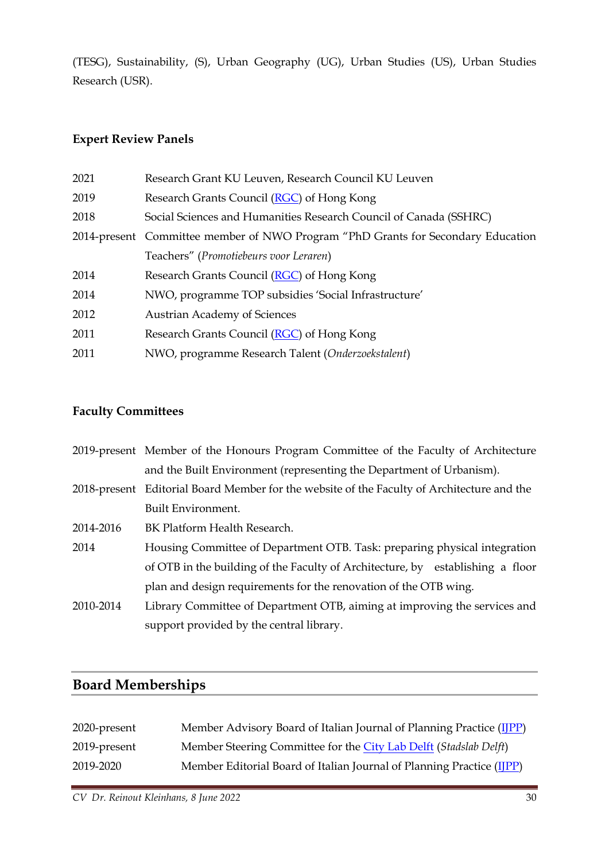(TESG), Sustainability, (S), Urban Geography (UG), Urban Studies (US), Urban Studies Research (USR).

#### **Expert Review Panels**

| 2021 | Research Grant KU Leuven, Research Council KU Leuven                              |
|------|-----------------------------------------------------------------------------------|
| 2019 | Research Grants Council (RGC) of Hong Kong                                        |
| 2018 | Social Sciences and Humanities Research Council of Canada (SSHRC)                 |
|      | 2014-present Committee member of NWO Program "PhD Grants for Secondary Education" |
|      | Teachers" (Promotiebeurs voor Leraren)                                            |
| 2014 | Research Grants Council (RGC) of Hong Kong                                        |
| 2014 | NWO, programme TOP subsidies 'Social Infrastructure'                              |
| 2012 | <b>Austrian Academy of Sciences</b>                                               |
| 2011 | Research Grants Council (RGC) of Hong Kong                                        |
| 2011 | NWO, programme Research Talent (Onderzoekstalent)                                 |
|      |                                                                                   |

## **Faculty Committees**

|           | 2019-present Member of the Honours Program Committee of the Faculty of Architecture        |  |
|-----------|--------------------------------------------------------------------------------------------|--|
|           | and the Built Environment (representing the Department of Urbanism).                       |  |
|           | 2018-present Editorial Board Member for the website of the Faculty of Architecture and the |  |
|           | Built Environment.                                                                         |  |
| 2014-2016 | BK Platform Health Research.                                                               |  |
| 2014      | Housing Committee of Department OTB. Task: preparing physical integration                  |  |
|           | of OTB in the building of the Faculty of Architecture, by establishing a floor             |  |
|           | plan and design requirements for the renovation of the OTB wing.                           |  |
| 2010-2014 | Library Committee of Department OTB, aiming at improving the services and                  |  |
|           | support provided by the central library.                                                   |  |

## **Board Memberships**

| 2020-present | Member Advisory Board of Italian Journal of Planning Practice (IJPP)  |
|--------------|-----------------------------------------------------------------------|
| 2019-present | Member Steering Committee for the City Lab Delft (Stadslab Delft)     |
| 2019-2020    | Member Editorial Board of Italian Journal of Planning Practice (IJPP) |